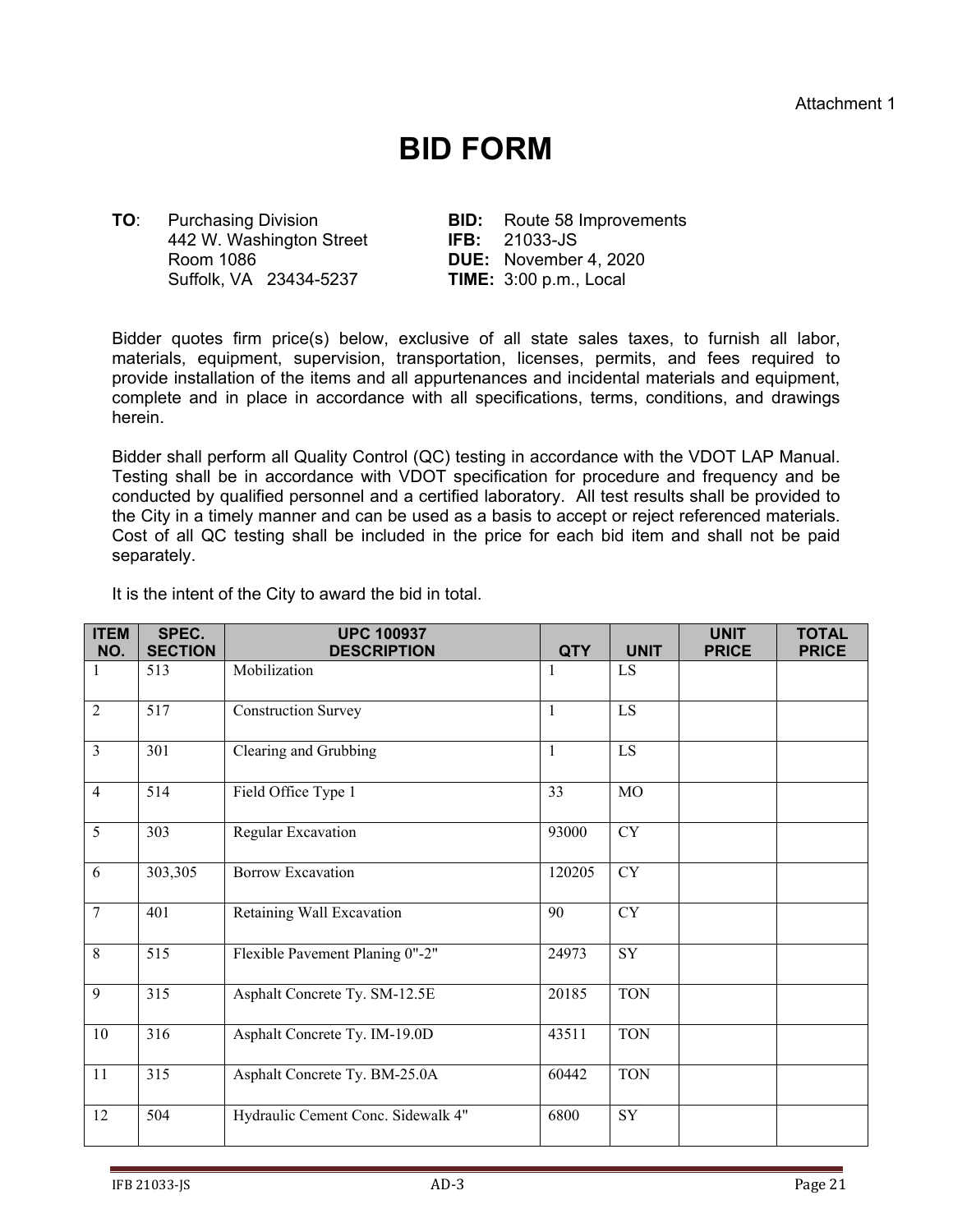## **BID FORM**

**TO**: Purchasing Division **BID:** Route 58 Improvements 442 W. Washington Street **IFB:** 21033-JS Room 1086 **DUE:** November 4, 2020 Suffolk, VA 23434-5237 **TIME:** 3:00 p.m., Local

Bidder quotes firm price(s) below, exclusive of all state sales taxes, to furnish all labor, materials, equipment, supervision, transportation, licenses, permits, and fees required to provide installation of the items and all appurtenances and incidental materials and equipment, complete and in place in accordance with all specifications, terms, conditions, and drawings herein.

Bidder shall perform all Quality Control (QC) testing in accordance with the VDOT LAP Manual. Testing shall be in accordance with VDOT specification for procedure and frequency and be conducted by qualified personnel and a certified laboratory. All test results shall be provided to the City in a timely manner and can be used as a basis to accept or reject referenced materials. Cost of all QC testing shall be included in the price for each bid item and shall not be paid separately.

| <b>ITEM</b><br>NO. | SPEC.<br><b>SECTION</b> | <b>UPC 100937</b><br><b>DESCRIPTION</b> | <b>QTY</b>   | <b>UNIT</b> | <b>UNIT</b><br><b>PRICE</b> | <b>TOTAL</b><br><b>PRICE</b> |
|--------------------|-------------------------|-----------------------------------------|--------------|-------------|-----------------------------|------------------------------|
| $\mathbf{1}$       | 513                     | Mobilization                            | $\mathbf{1}$ | LS          |                             |                              |
| $\overline{2}$     | 517                     | <b>Construction Survey</b>              | 1            | LS          |                             |                              |
| $\overline{3}$     | 301                     | Clearing and Grubbing                   | 1            | LS          |                             |                              |
| $\overline{4}$     | 514                     | Field Office Type 1                     | 33           | MO          |                             |                              |
| 5                  | 303                     | Regular Excavation                      | 93000        | CY          |                             |                              |
| 6                  | 303,305                 | <b>Borrow Excavation</b>                | 120205       | CY          |                             |                              |
| $\overline{7}$     | 401                     | Retaining Wall Excavation               | 90           | CY          |                             |                              |
| 8                  | 515                     | Flexible Pavement Planing 0"-2"         | 24973        | SY          |                             |                              |
| 9                  | 315                     | Asphalt Concrete Ty. SM-12.5E           | 20185        | <b>TON</b>  |                             |                              |
| 10                 | 316                     | Asphalt Concrete Ty. IM-19.0D           | 43511        | <b>TON</b>  |                             |                              |
| 11                 | 315                     | Asphalt Concrete Ty. BM-25.0A           | 60442        | <b>TON</b>  |                             |                              |
| 12                 | 504                     | Hydraulic Cement Conc. Sidewalk 4"      | 6800         | SY          |                             |                              |

It is the intent of the City to award the bid in total.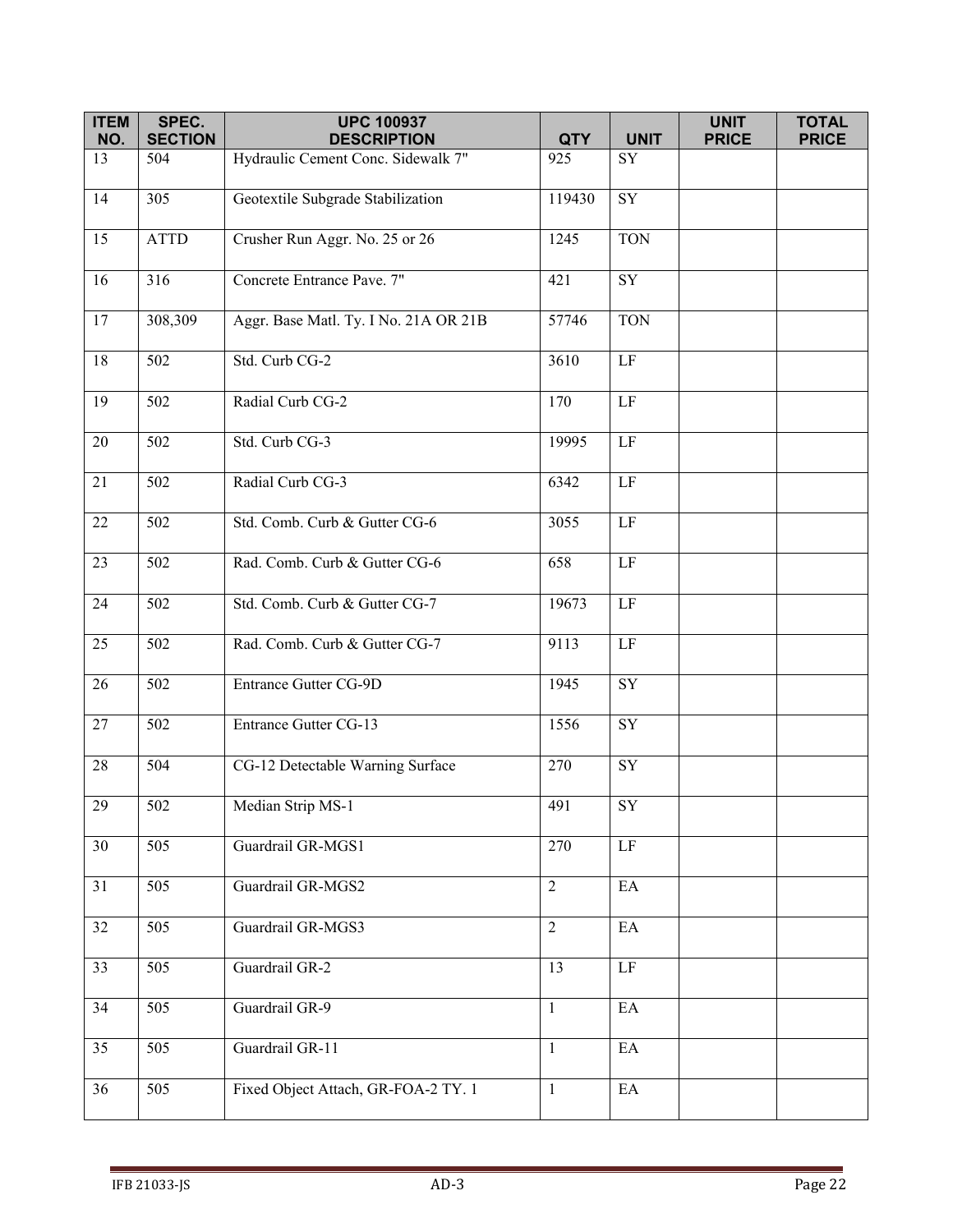| <b>ITEM</b> | SPEC.            | <b>UPC 100937</b>                     |                |                            | <b>UNIT</b>  | <b>TOTAL</b> |
|-------------|------------------|---------------------------------------|----------------|----------------------------|--------------|--------------|
| NO.         | <b>SECTION</b>   | <b>DESCRIPTION</b>                    | <b>QTY</b>     | <b>UNIT</b>                | <b>PRICE</b> | <b>PRICE</b> |
| 13          | 504              | Hydraulic Cement Conc. Sidewalk 7"    | 925            | SY                         |              |              |
| 14          | 305              | Geotextile Subgrade Stabilization     | 119430         | $\overline{\text{SY}}$     |              |              |
| 15          | <b>ATTD</b>      | Crusher Run Aggr. No. 25 or 26        | 1245           | <b>TON</b>                 |              |              |
| 16          | 316              | Concrete Entrance Pave. 7"            | 421            | SY                         |              |              |
| 17          | 308,309          | Aggr. Base Matl. Ty. I No. 21A OR 21B | 57746          | <b>TON</b>                 |              |              |
| $18\,$      | 502              | Std. Curb CG-2                        | 3610           | $\rm LF$                   |              |              |
| 19          | 502              | Radial Curb CG-2                      | 170            | $\rm LF$                   |              |              |
| 20          | 502              | Std. Curb CG-3                        | 19995          | LF                         |              |              |
| 21          | 502              | Radial Curb CG-3                      | 6342           | $\rm LF$                   |              |              |
| $22\,$      | 502              | Std. Comb. Curb & Gutter CG-6         | 3055           | $\rm LF$                   |              |              |
| 23          | $\overline{502}$ | Rad. Comb. Curb & Gutter CG-6         | 658            | $\rm LF$                   |              |              |
| 24          | 502              | Std. Comb. Curb & Gutter CG-7         | 19673          | $\rm LF$                   |              |              |
| 25          | 502              | Rad. Comb. Curb & Gutter CG-7         | 9113           | $\rm LF$                   |              |              |
| 26          | 502              | Entrance Gutter CG-9D                 | 1945           | $\overline{\text{SY}}$     |              |              |
| 27          | 502              | <b>Entrance Gutter CG-13</b>          | 1556           | SY                         |              |              |
| $28\,$      | 504              | CG-12 Detectable Warning Surface      | 270            | SY                         |              |              |
| $29\,$      | 502              | Median Strip MS-1                     | 491            | ${\rm SY}$                 |              |              |
| 30          | 505              | Guardrail GR-MGS1                     | 270            | $\rm LF$                   |              |              |
| 31          | 505              | Guardrail GR-MGS2                     | $\overline{2}$ | EA                         |              |              |
| 32          | 505              | Guardrail GR-MGS3                     | 2              | $\rm EA$                   |              |              |
| 33          | 505              | Guardrail GR-2                        | 13             | LF                         |              |              |
| 34          | 505              | Guardrail GR-9                        | $\mathbf{1}$   | EA                         |              |              |
| 35          | 505              | Guardrail GR-11                       | $\mathbf{1}$   | $\mathop{\rm EA}\nolimits$ |              |              |
| 36          | 505              | Fixed Object Attach, GR-FOA-2 TY. 1   | $\mathbf{1}$   | $\rm EA$                   |              |              |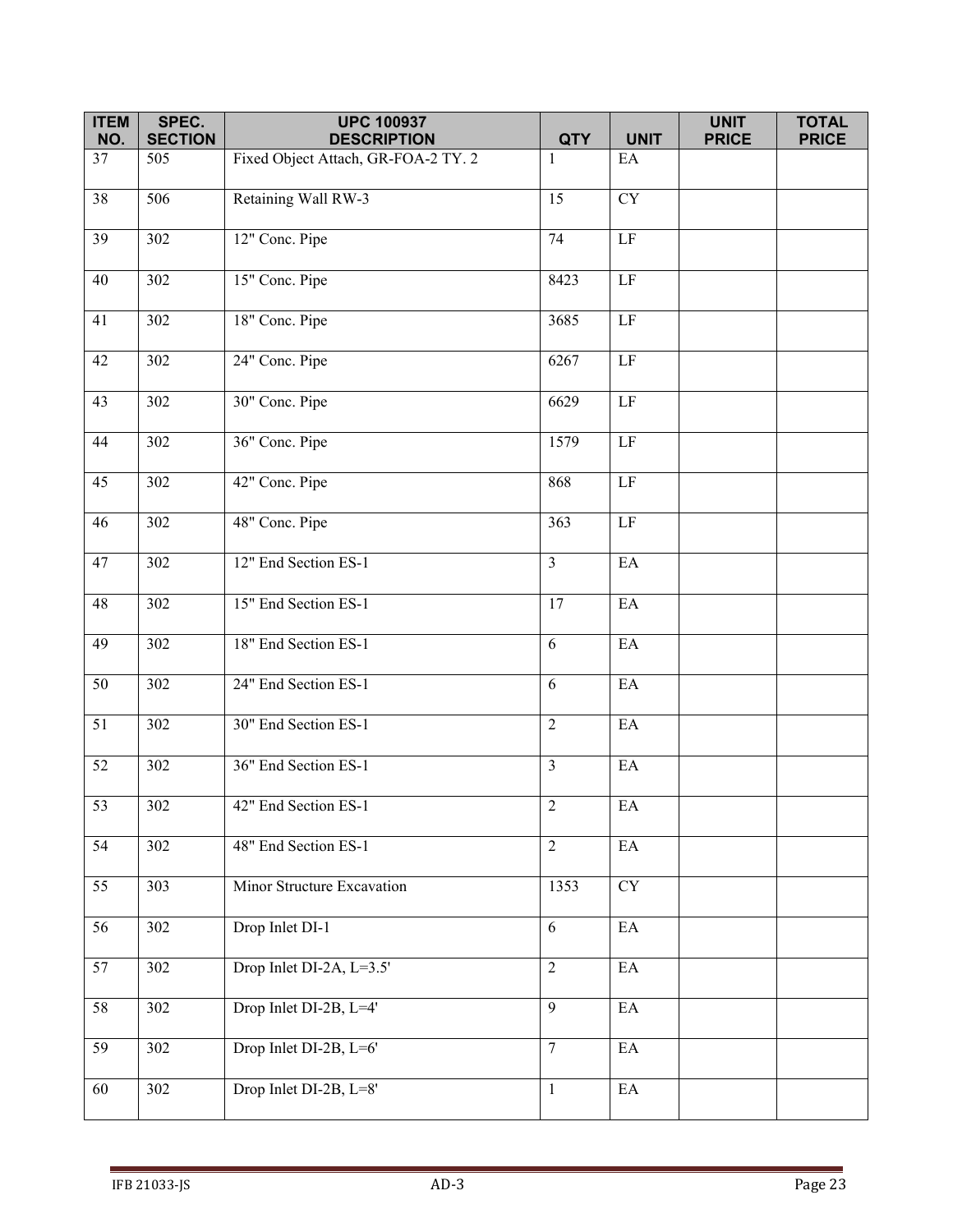| <b>ITEM</b>     | SPEC.            | <b>UPC 100937</b>                   |                |                            | <b>UNIT</b>  | <b>TOTAL</b> |
|-----------------|------------------|-------------------------------------|----------------|----------------------------|--------------|--------------|
| NO.             | <b>SECTION</b>   | <b>DESCRIPTION</b>                  | <b>QTY</b>     | <b>UNIT</b>                | <b>PRICE</b> | <b>PRICE</b> |
| 37              | 505              | Fixed Object Attach, GR-FOA-2 TY. 2 | 1              | EA                         |              |              |
| $\overline{38}$ | 506              | Retaining Wall RW-3                 | 15             | $\overline{\text{CY}}$     |              |              |
| 39              | 302              | 12" Conc. Pipe                      | 74             | $\rm LF$                   |              |              |
| 40              | 302              | 15" Conc. Pipe                      | 8423           | $\overline{LF}$            |              |              |
| 41              | 302              | 18" Conc. Pipe                      | 3685           | LF                         |              |              |
| 42              | 302              | 24" Conc. Pipe                      | 6267           | $\rm LF$                   |              |              |
| 43              | $\overline{3}02$ | 30" Conc. Pipe                      | 6629           | $\rm LF$                   |              |              |
| 44              | $\overline{302}$ | 36" Conc. Pipe                      | 1579           | LF                         |              |              |
| 45              | 302              | 42" Conc. Pipe                      | 868            | LF                         |              |              |
| 46              | 302              | 48" Conc. Pipe                      | 363            | LF                         |              |              |
| 47              | 302              | 12" End Section ES-1                | $\overline{3}$ | EA                         |              |              |
| 48              | 302              | 15" End Section ES-1                | 17             | $\mathop{\rm EA}\nolimits$ |              |              |
| 49              | 302              | 18" End Section ES-1                | 6              | EA                         |              |              |
| $\overline{50}$ | 302              | 24" End Section ES-1                | 6              | EA                         |              |              |
| 51              | 302              | 30" End Section ES-1                | $\overline{2}$ | $\mathop{\rm EA}\nolimits$ |              |              |
| 52              | 302              | 36" End Section ES-1                | $\overline{3}$ | $\mathop{\rm EA}\nolimits$ |              |              |
| 53              | 302              | 42" End Section ES-1                | 2              | $\mathop{\rm EA}\nolimits$ |              |              |
| 54              | 302              | 48" End Section ES-1                | $\overline{2}$ | $\mathop{\rm EA}\nolimits$ |              |              |
| $\overline{55}$ | 303              | Minor Structure Excavation          | 1353           | <b>CY</b>                  |              |              |
| 56              | 302              | Drop Inlet DI-1                     | 6              | $\rm EA$                   |              |              |
| 57              | 302              | Drop Inlet DI-2A, L=3.5'            | $\overline{2}$ | $\mathop{\rm EA}\nolimits$ |              |              |
| 58              | 302              | Drop Inlet DI-2B, L=4'              | 9              | $\mathop{\rm EA}\nolimits$ |              |              |
| $\overline{59}$ | 302              | Drop Inlet DI-2B, L=6'              | $\overline{7}$ | EA                         |              |              |
| 60              | 302              | Drop Inlet DI-2B, L=8'              | $\mathbf{1}$   | $\mathop{\rm EA}\nolimits$ |              |              |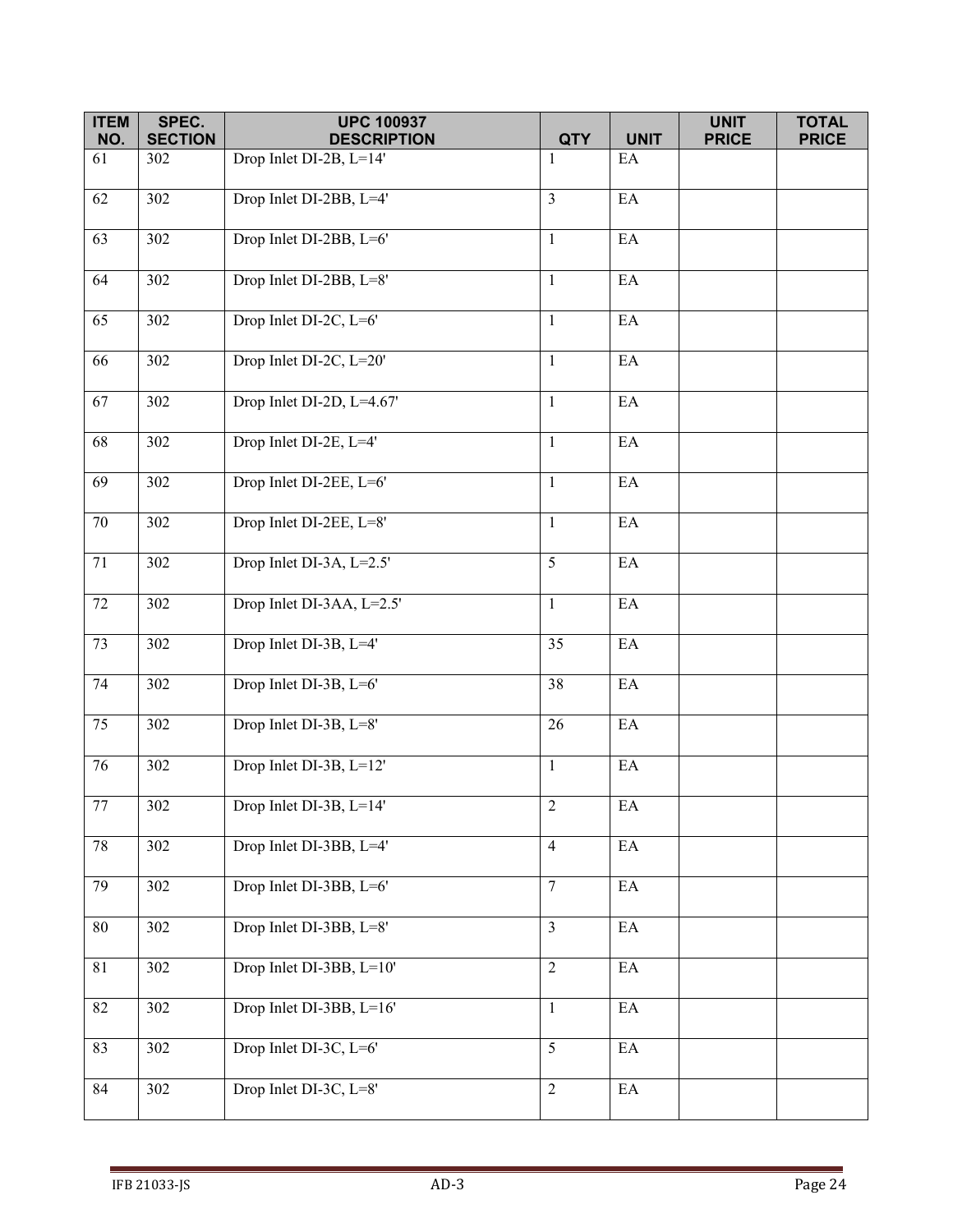| <b>ITEM</b>     | SPEC.            | <b>UPC 100937</b>         |                |                               | <b>UNIT</b>  | <b>TOTAL</b> |
|-----------------|------------------|---------------------------|----------------|-------------------------------|--------------|--------------|
| NO.             | <b>SECTION</b>   | <b>DESCRIPTION</b>        | <b>QTY</b>     | <b>UNIT</b>                   | <b>PRICE</b> | <b>PRICE</b> |
| 61              | 302              | Drop Inlet DI-2B, L=14'   | $\mathbf{1}$   | EA                            |              |              |
| 62              | 302              | Drop Inlet DI-2BB, L=4'   | $\overline{3}$ | $\mathop{\rm EA}\nolimits$    |              |              |
| 63              | 302              | Drop Inlet DI-2BB, L=6'   | $\mathbf{1}$   | $\mathop{\rm EA}\nolimits$    |              |              |
| 64              | 302              | Drop Inlet DI-2BB, L=8'   | $\mathbf{1}$   | EA                            |              |              |
| 65              | 302              | Drop Inlet DI-2C, L=6'    | $\mathbf{1}$   | $\rm EA$                      |              |              |
| 66              | 302              | Drop Inlet DI-2C, L=20'   | $\mathbf{1}$   | $\mathop{\rm EA}\nolimits$    |              |              |
| 67              | 302              | Drop Inlet DI-2D, L=4.67' | $\mathbf{1}$   | EA                            |              |              |
| $\overline{68}$ | $\overline{302}$ | Drop Inlet DI-2E, L=4'    | $\mathbf{1}$   | EA                            |              |              |
| 69              | 302              | Drop Inlet DI-2EE, L=6'   | $\mathbf{1}$   | $\mathop{\rm EA}\nolimits$    |              |              |
| $70\,$          | 302              | Drop Inlet DI-2EE, L=8'   | $\mathbf{1}$   | $\rm EA$                      |              |              |
| 71              | 302              | Drop Inlet DI-3A, L=2.5'  | 5              | $\mathop{\rm EA}\nolimits$    |              |              |
| 72              | 302              | Drop Inlet DI-3AA, L=2.5' | $\mathbf{1}$   | $\mathop{\rm EA}\nolimits$    |              |              |
| 73              | 302              | Drop Inlet DI-3B, L=4'    | 35             | $\rm EA$                      |              |              |
| 74              | 302              | Drop Inlet DI-3B, L=6'    | 38             | $\mathop{\rm EA}\nolimits$    |              |              |
| 75              | 302              | Drop Inlet DI-3B, L=8'    | 26             | EA                            |              |              |
| 76              | 302              | Drop Inlet DI-3B, L=12'   | $\mathbf{1}$   | $\mathop{\rm EA}\nolimits$    |              |              |
| 77              | 302              | Drop Inlet DI-3B, L=14'   | $\mathfrak{D}$ | $\mathop{\rm EA}\nolimits$    |              |              |
| $78\,$          | 302              | Drop Inlet DI-3BB, L=4'   | $\overline{4}$ | $\mathop{\rm EA}\nolimits$    |              |              |
| 79              | 302              | Drop Inlet DI-3BB, L=6'   | $\overline{7}$ | $\mathop{\rm EA}\nolimits$    |              |              |
| $80\,$          | 302              | Drop Inlet DI-3BB, L=8'   | $\overline{3}$ | $\rm EA$                      |              |              |
| $81\,$          | 302              | Drop Inlet DI-3BB, L=10'  | $\overline{2}$ | $\rm EA$                      |              |              |
| 82              | 302              | Drop Inlet DI-3BB, L=16'  | $\mathbf{1}$   | $\mathop{\rm EA}\nolimits$    |              |              |
| 83              | 302              | Drop Inlet DI-3C, L=6'    | 5              | $E\overline{A}$               |              |              |
| 84              | 302              | Drop Inlet DI-3C, L=8'    | $\overline{2}$ | $\mathop{\text{EA}}\nolimits$ |              |              |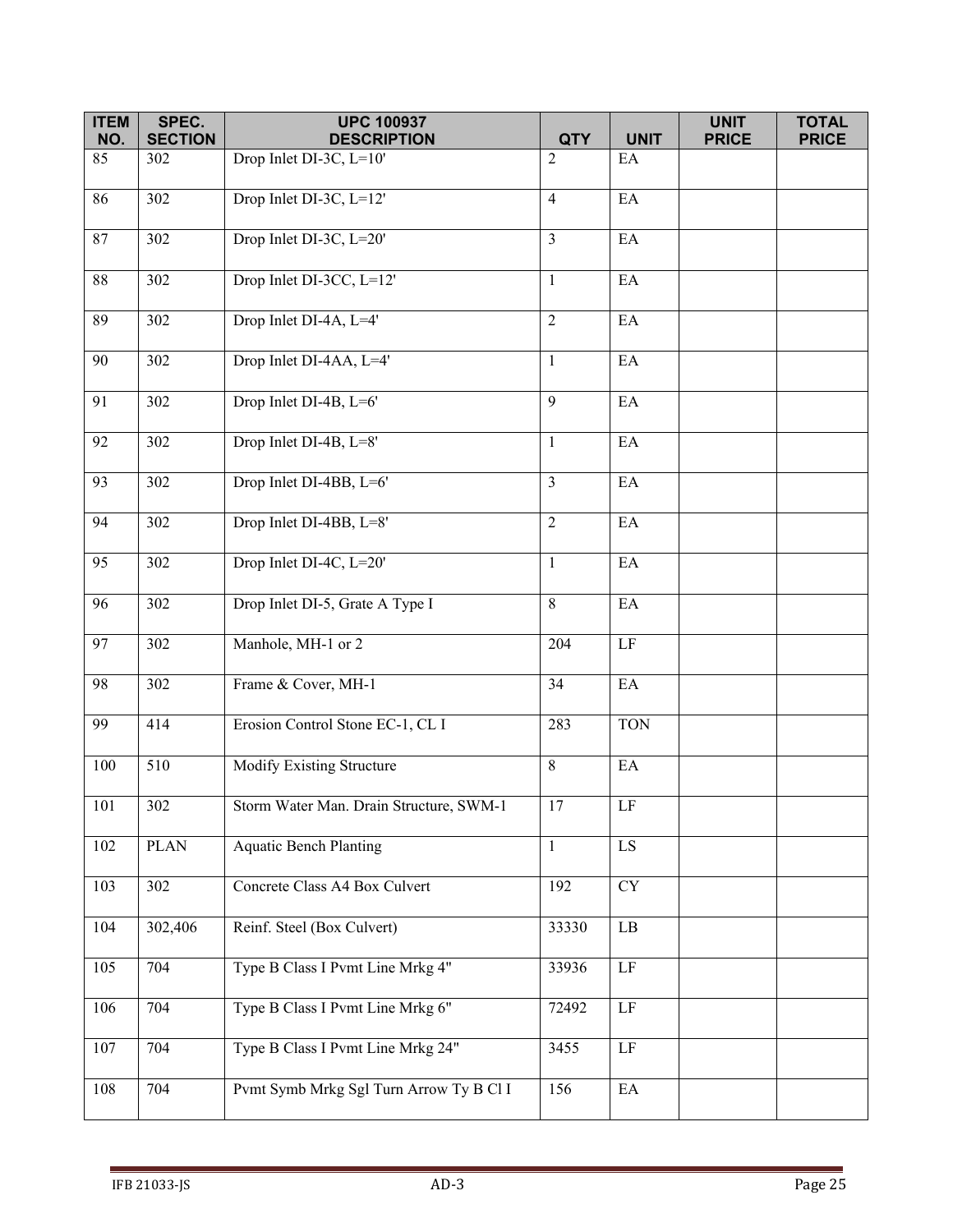| <b>ITEM</b>     | SPEC.            | <b>UPC 100937</b>                       |                              |                            | <b>UNIT</b>  | <b>TOTAL</b> |
|-----------------|------------------|-----------------------------------------|------------------------------|----------------------------|--------------|--------------|
| NO.             | <b>SECTION</b>   | <b>DESCRIPTION</b>                      | <b>QTY</b><br>$\overline{2}$ | <b>UNIT</b>                | <b>PRICE</b> | <b>PRICE</b> |
| 85              | 302              | Drop Inlet DI-3C, L=10'                 |                              | EA                         |              |              |
| 86              | $\overline{302}$ | Drop Inlet DI-3C, L=12'                 | $\overline{4}$               | EA                         |              |              |
| 87              | 302              | Drop Inlet DI-3C, L=20'                 | $\overline{3}$               | $\mathop{\rm EA}\nolimits$ |              |              |
| $88\,$          | 302              | Drop Inlet DI-3CC, L=12'                | $\mathbf{1}$                 | $\mathop{\rm EA}\nolimits$ |              |              |
| 89              | 302              | Drop Inlet DI-4A, L=4'                  | 2                            | EA                         |              |              |
| 90              | 302              | Drop Inlet DI-4AA, L=4'                 | $\mathbf{1}$                 | $\rm EA$                   |              |              |
| 91              | 302              | Drop Inlet DI-4B, L=6'                  | 9                            | EA                         |              |              |
| 92              | 302              | Drop Inlet DI-4B, L=8'                  | $\mathbf{1}$                 | EA                         |              |              |
| 93              | 302              | Drop Inlet DI-4BB, L=6'                 | $\overline{3}$               | $\rm EA$                   |              |              |
| 94              | 302              | Drop Inlet DI-4BB, L=8'                 | $\overline{2}$               | $\mathop{\rm EA}\nolimits$ |              |              |
| 95              | 302              | Drop Inlet DI-4C, L=20'                 | $\mathbf{1}$                 | EA                         |              |              |
| 96              | 302              | Drop Inlet DI-5, Grate A Type I         | 8                            | $\rm EA$                   |              |              |
| 97              | 302              | Manhole, MH-1 or 2                      | 204                          | $\rm LF$                   |              |              |
| $\overline{98}$ | 302              | Frame & Cover, MH-1                     | 34                           | $\rm EA$                   |              |              |
| 99              | 414              | Erosion Control Stone EC-1, CL I        | 283                          | <b>TON</b>                 |              |              |
| 100             | 510              | Modify Existing Structure               | 8                            | $\mathop{\rm EA}\nolimits$ |              |              |
| 101             | 302              | Storm Water Man. Drain Structure, SWM-1 | 17                           | LF                         |              |              |
| 102             | <b>PLAN</b>      | <b>Aquatic Bench Planting</b>           | $\mathbf{1}$                 | LS                         |              |              |
| 103             | 302              | Concrete Class A4 Box Culvert           | 192                          | <b>CY</b>                  |              |              |
| 104             | 302,406          | Reinf. Steel (Box Culvert)              | 33330                        | $\rm LB$                   |              |              |
| 105             | 704              | Type B Class I Pvmt Line Mrkg 4"        | 33936                        | $\rm LF$                   |              |              |
| 106             | 704              | Type B Class I Pvmt Line Mrkg 6"        | 72492                        | $\rm LF$                   |              |              |
| 107             | 704              | Type B Class I Pvmt Line Mrkg 24"       | 3455                         | $\overline{LF}$            |              |              |
| 108             | 704              | Pvmt Symb Mrkg Sgl Turn Arrow Ty B Cl I | 156                          | $\mathop{\rm EA}\nolimits$ |              |              |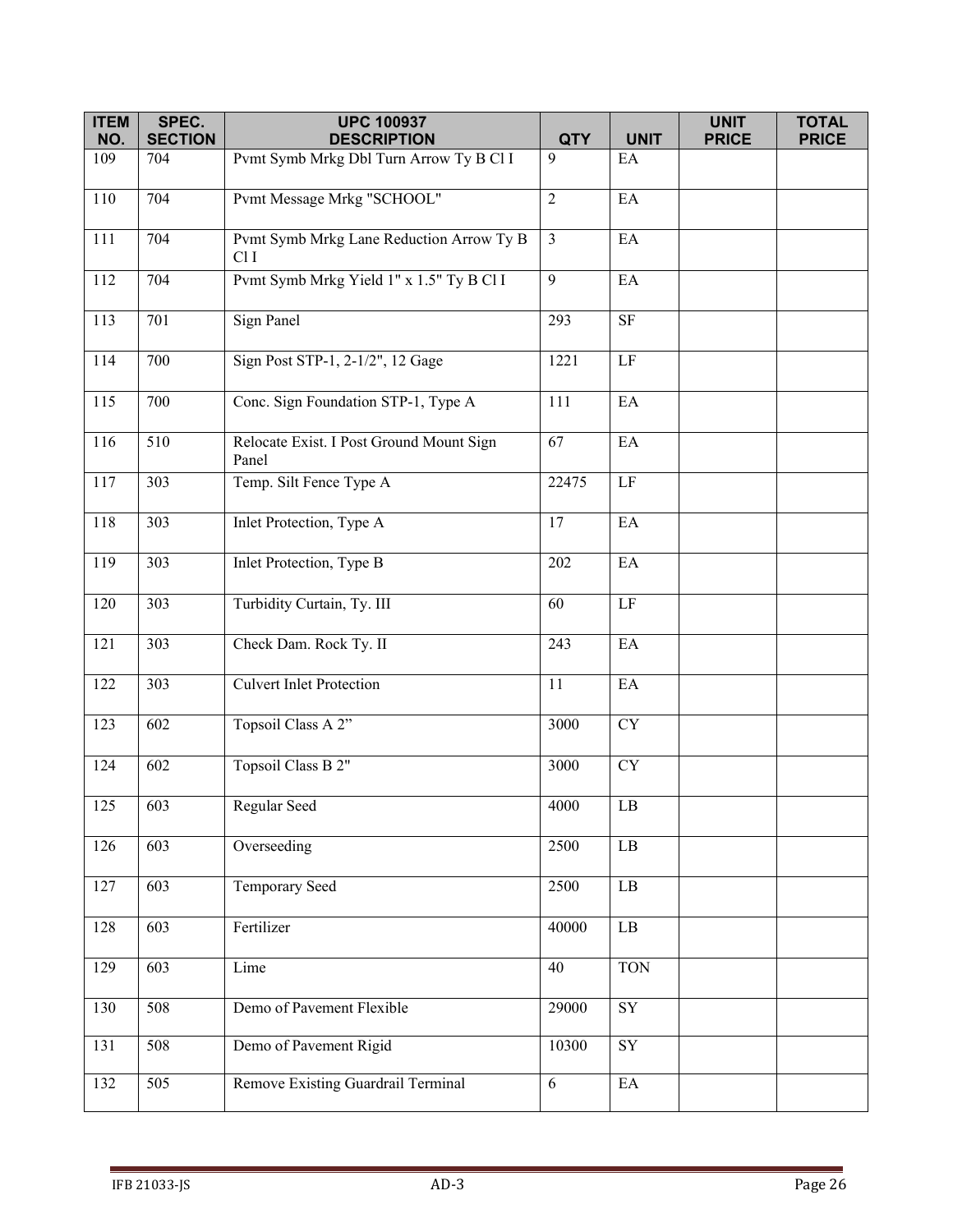| <b>ITEM</b> | SPEC.          | <b>UPC 100937</b>                                 |                |                            | <b>UNIT</b>  | <b>TOTAL</b> |
|-------------|----------------|---------------------------------------------------|----------------|----------------------------|--------------|--------------|
| NO.         | <b>SECTION</b> | <b>DESCRIPTION</b>                                | <b>QTY</b>     | <b>UNIT</b>                | <b>PRICE</b> | <b>PRICE</b> |
| 109         | 704            | Pvmt Symb Mrkg Dbl Turn Arrow Ty B Cl I           | 9              | EA                         |              |              |
| 110         | 704            | Pvmt Message Mrkg "SCHOOL"                        | $\overline{2}$ | EA                         |              |              |
| 111         | 704            | Pvmt Symb Mrkg Lane Reduction Arrow Ty B<br>Cl I  | $\mathfrak{Z}$ | EA                         |              |              |
| 112         | 704            | Pvmt Symb Mrkg Yield 1" x 1.5" Ty B Cl I          | 9              | EA                         |              |              |
| 113         | 701            | <b>Sign Panel</b>                                 | 293            | $\rm{SF}$                  |              |              |
| 114         | 700            | Sign Post STP-1, 2-1/2", 12 Gage                  | 1221           | $\rm LF$                   |              |              |
| 115         | 700            | Conc. Sign Foundation STP-1, Type A               | 111            | EA                         |              |              |
| 116         | 510            | Relocate Exist. I Post Ground Mount Sign<br>Panel | 67             | EA                         |              |              |
| 117         | 303            | Temp. Silt Fence Type A                           | 22475          | $\rm LF$                   |              |              |
| 118         | 303            | Inlet Protection, Type A                          | 17             | EA                         |              |              |
| 119         | 303            | <b>Inlet Protection</b> , Type B                  | 202            | $\mathop{\rm EA}\nolimits$ |              |              |
| 120         | 303            | Turbidity Curtain, Ty. III                        | 60             | LF                         |              |              |
| 121         | 303            | Check Dam. Rock Ty. II                            | 243            | $\mathop{\rm EA}\nolimits$ |              |              |
| 122         | 303            | <b>Culvert Inlet Protection</b>                   | 11             | EA                         |              |              |
| 123         | 602            | Topsoil Class A 2"                                | 3000           | <b>CY</b>                  |              |              |
| 124         | 602            | Topsoil Class B 2"                                | 3000           | <b>CY</b>                  |              |              |
| 125         | 603            | Regular Seed                                      | 4000           | LB                         |              |              |
| 126         | 603            | Overseeding                                       | 2500           | $\rm{LB}$                  |              |              |
| 127         | 603            | Temporary Seed                                    | 2500           | LB                         |              |              |
| 128         | 603            | Fertilizer                                        | 40000          | $\overline{LB}$            |              |              |
| 129         | 603            | Lime                                              | 40             | <b>TON</b>                 |              |              |
| 130         | 508            | Demo of Pavement Flexible                         | 29000          | SY                         |              |              |
| 131         | 508            | Demo of Pavement Rigid                            | 10300          | SY                         |              |              |
| 132         | 505            | Remove Existing Guardrail Terminal                | 6              | $\rm EA$                   |              |              |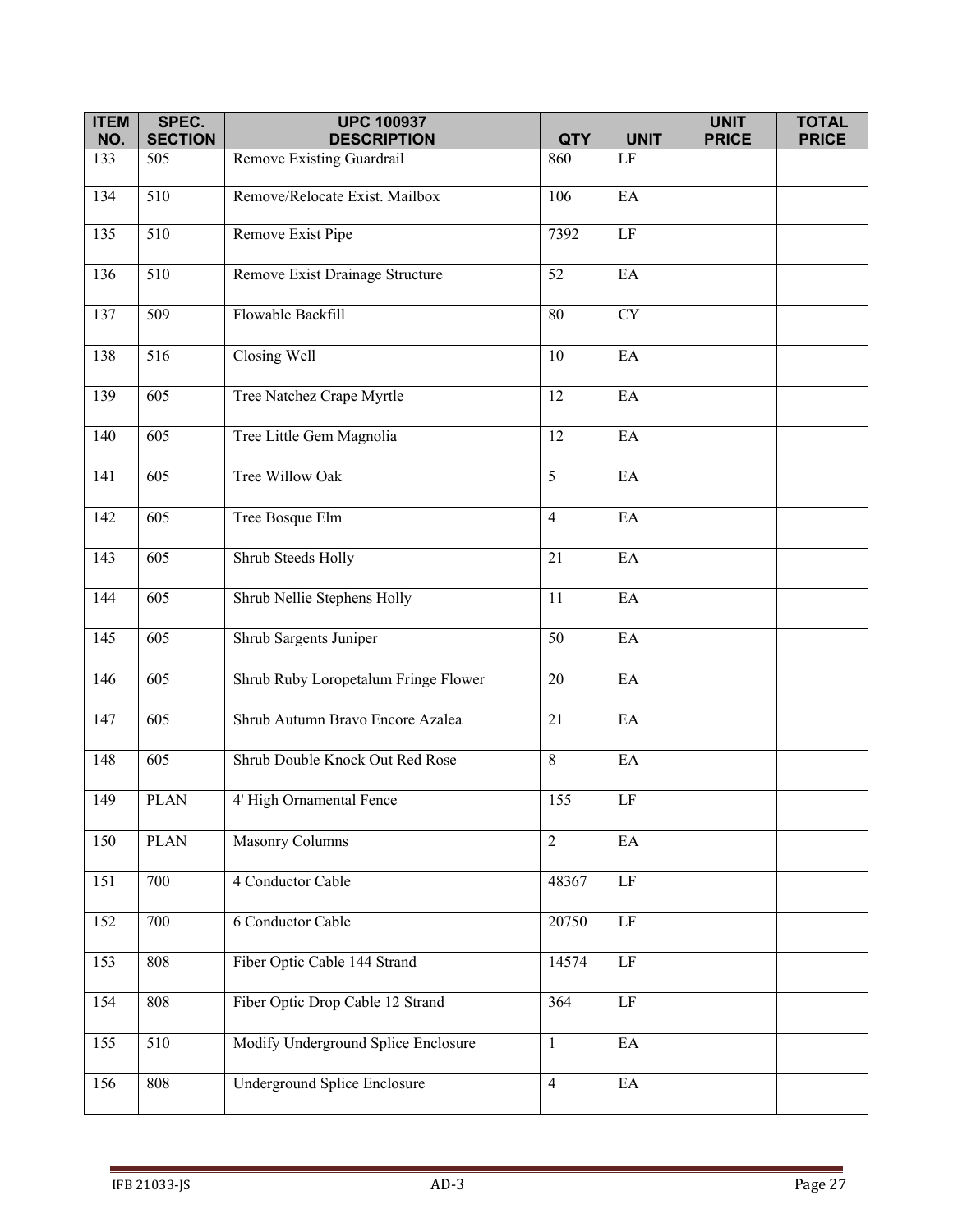| <b>ITEM</b><br>NO. | SPEC.                 | <b>UPC 100937</b><br><b>DESCRIPTION</b> | <b>QTY</b>     | <b>UNIT</b>                | <b>UNIT</b>  | <b>TOTAL</b><br><b>PRICE</b> |
|--------------------|-----------------------|-----------------------------------------|----------------|----------------------------|--------------|------------------------------|
| 133                | <b>SECTION</b><br>505 | Remove Existing Guardrail               | 860            | $\rm LF$                   | <b>PRICE</b> |                              |
|                    |                       |                                         |                |                            |              |                              |
| 134                | 510                   | Remove/Relocate Exist. Mailbox          | 106            | EA                         |              |                              |
| 135                | $\overline{510}$      | Remove Exist Pipe                       | 7392           | $\rm LF$                   |              |                              |
| 136                | 510                   | Remove Exist Drainage Structure         | 52             | EA                         |              |                              |
| 137                | 509                   | Flowable Backfill                       | 80             | <b>CY</b>                  |              |                              |
| 138                | 516                   | Closing Well                            | 10             | EA                         |              |                              |
| 139                | 605                   | Tree Natchez Crape Myrtle               | 12             | EA                         |              |                              |
| 140                | 605                   | Tree Little Gem Magnolia                | 12             | EA                         |              |                              |
| 141                | 605                   | Tree Willow Oak                         | 5              | EA                         |              |                              |
| 142                | 605                   | Tree Bosque Elm                         | $\overline{4}$ | EA                         |              |                              |
| 143                | 605                   | Shrub Steeds Holly                      | 21             | EA                         |              |                              |
| 144                | 605                   | Shrub Nellie Stephens Holly             | 11             | EA                         |              |                              |
| 145                | 605                   | Shrub Sargents Juniper                  | 50             | EA                         |              |                              |
| 146                | 605                   | Shrub Ruby Loropetalum Fringe Flower    | 20             | EA                         |              |                              |
| 147                | 605                   | Shrub Autumn Bravo Encore Azalea        | 21             | EA                         |              |                              |
| 148                | 605                   | Shrub Double Knock Out Red Rose         | 8              | EA                         |              |                              |
| 149                | <b>PLAN</b>           | 4' High Ornamental Fence                | 155            | $\rm LF$                   |              |                              |
| 150                | <b>PLAN</b>           | Masonry Columns                         | $\overline{2}$ | EA                         |              |                              |
| 151                | 700                   | 4 Conductor Cable                       | 48367          | LF                         |              |                              |
| 152                | 700                   | 6 Conductor Cable                       | 20750          | $\rm LF$                   |              |                              |
| 153                | 808                   | Fiber Optic Cable 144 Strand            | 14574          | $\rm LF$                   |              |                              |
| 154                | 808                   | Fiber Optic Drop Cable 12 Strand        | 364            | $\rm LF$                   |              |                              |
| 155                | 510                   | Modify Underground Splice Enclosure     | $\mathbf{1}$   | EA                         |              |                              |
| 156                | 808                   | Underground Splice Enclosure            | $\overline{4}$ | $\mathop{\rm EA}\nolimits$ |              |                              |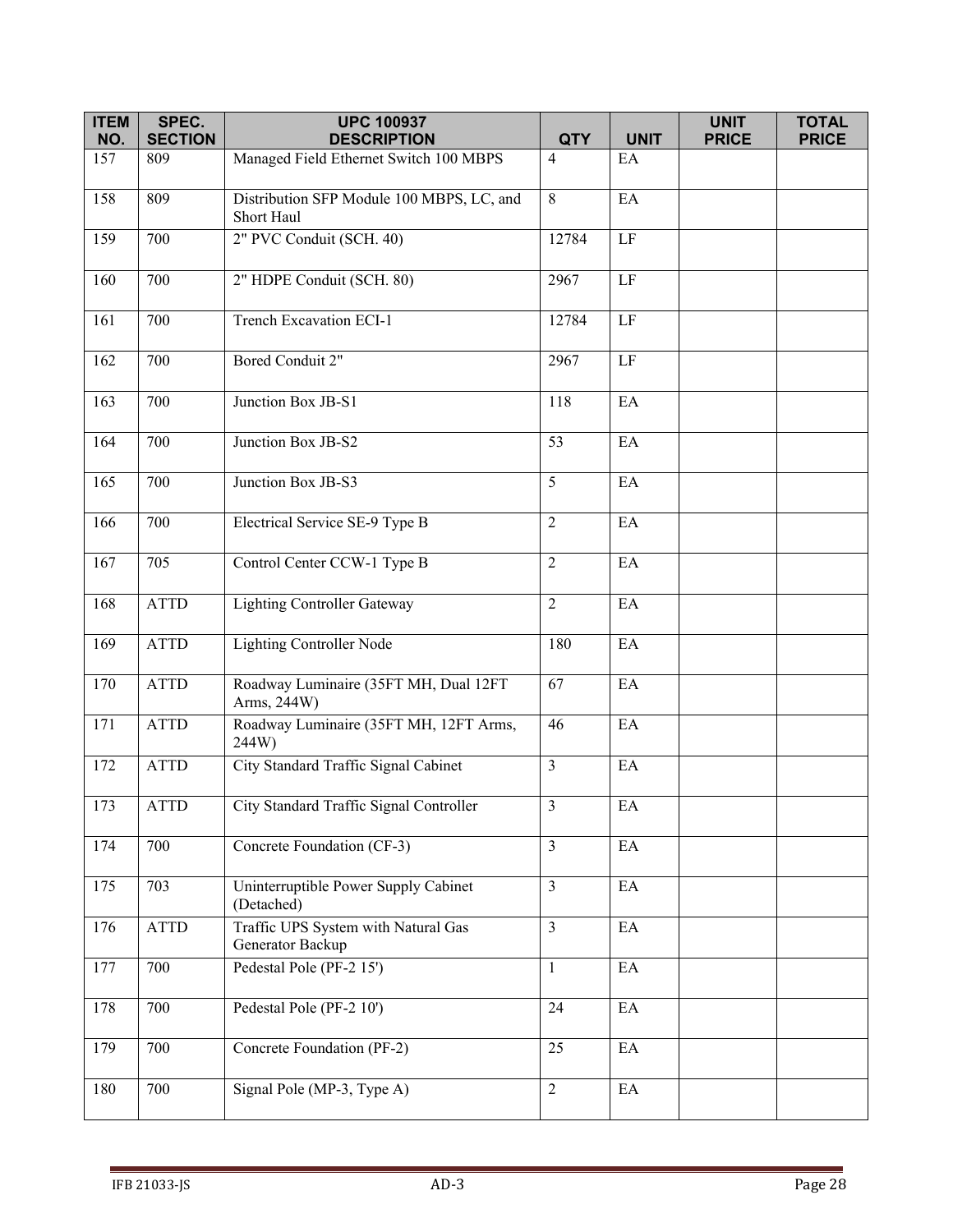| <b>ITEM</b> | SPEC.          | <b>UPC 100937</b>                                       |                         |                            | <b>UNIT</b>  | <b>TOTAL</b> |
|-------------|----------------|---------------------------------------------------------|-------------------------|----------------------------|--------------|--------------|
| NO.         | <b>SECTION</b> | <b>DESCRIPTION</b>                                      | <b>QTY</b>              | <b>UNIT</b>                | <b>PRICE</b> | <b>PRICE</b> |
| 157         | 809            | Managed Field Ethernet Switch 100 MBPS                  | $\overline{4}$          | EA                         |              |              |
| 158         | 809            | Distribution SFP Module 100 MBPS, LC, and<br>Short Haul | 8                       | EA                         |              |              |
| 159         | 700            | 2" PVC Conduit (SCH. 40)                                | 12784                   | $\rm LF$                   |              |              |
| 160         | 700            | 2" HDPE Conduit (SCH. 80)                               | 2967                    | $\rm LF$                   |              |              |
| 161         | 700            | Trench Excavation ECI-1                                 | 12784                   | $\rm LF$                   |              |              |
| 162         | 700            | Bored Conduit 2"                                        | 2967                    | $\rm LF$                   |              |              |
| 163         | 700            | Junction Box JB-S1                                      | 118                     | EA                         |              |              |
| 164         | 700            | Junction Box JB-S2                                      | 53                      | EA                         |              |              |
| 165         | 700            | Junction Box JB-S3                                      | 5                       | EA                         |              |              |
| 166         | 700            | Electrical Service SE-9 Type B                          | $\overline{2}$          | EA                         |              |              |
| 167         | 705            | Control Center CCW-1 Type B                             | $\overline{2}$          | EA                         |              |              |
| 168         | <b>ATTD</b>    | <b>Lighting Controller Gateway</b>                      | $\overline{2}$          | EA                         |              |              |
| 169         | <b>ATTD</b>    | <b>Lighting Controller Node</b>                         | 180                     | EA                         |              |              |
| 170         | <b>ATTD</b>    | Roadway Luminaire (35FT MH, Dual 12FT<br>Arms, 244W)    | 67                      | EA                         |              |              |
| 171         | <b>ATTD</b>    | Roadway Luminaire (35FT MH, 12FT Arms,<br>244W)         | 46                      | EA                         |              |              |
| 172         | <b>ATTD</b>    | City Standard Traffic Signal Cabinet                    | $\overline{3}$          | EA                         |              |              |
| 173         | ATTD           | City Standard Traffic Signal Controller                 | $\mathfrak{Z}$          | EA                         |              |              |
| 174         | 700            | Concrete Foundation (CF-3)                              | $\overline{3}$          | EA                         |              |              |
| 175         | 703            | Uninterruptible Power Supply Cabinet<br>(Detached)      | $\overline{3}$          | EA                         |              |              |
| 176         | <b>ATTD</b>    | Traffic UPS System with Natural Gas<br>Generator Backup | $\overline{\mathbf{3}}$ | EA                         |              |              |
| 177         | 700            | Pedestal Pole (PF-2 15')                                | $\mathbf{1}$            | $\mathop{\rm EA}\nolimits$ |              |              |
| 178         | 700            | Pedestal Pole (PF-2 10')                                | 24                      | EA                         |              |              |
| 179         | 700            | Concrete Foundation (PF-2)                              | 25                      | EA                         |              |              |
| 180         | 700            | Signal Pole (MP-3, Type A)                              | $\overline{2}$          | $\rm EA$                   |              |              |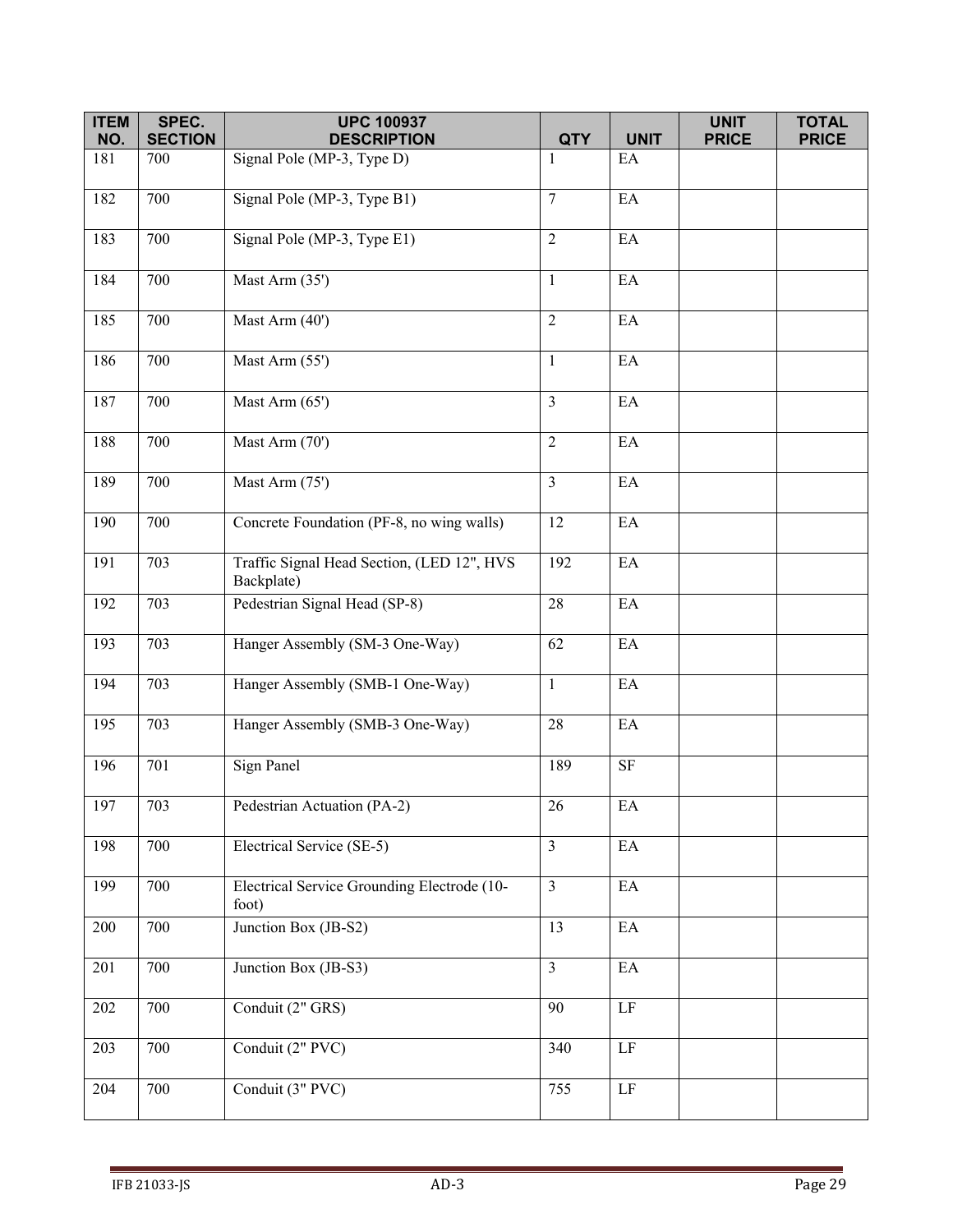| <b>ITEM</b> | SPEC.                 | <b>UPC 100937</b>                                        |                 |                            | <b>UNIT</b>  | <b>TOTAL</b> |
|-------------|-----------------------|----------------------------------------------------------|-----------------|----------------------------|--------------|--------------|
| NO.<br>181  | <b>SECTION</b><br>700 | <b>DESCRIPTION</b>                                       | <b>QTY</b><br>1 | <b>UNIT</b><br>EA          | <b>PRICE</b> | <b>PRICE</b> |
|             |                       | Signal Pole (MP-3, Type D)                               |                 |                            |              |              |
| 182         | 700                   | Signal Pole (MP-3, Type B1)                              | $\tau$          | EA                         |              |              |
| 183         | 700                   | Signal Pole (MP-3, Type E1)                              | $\overline{2}$  | EA                         |              |              |
| 184         | 700                   | Mast Arm (35')                                           | $\mathbf{1}$    | EA                         |              |              |
| 185         | 700                   | Mast Arm (40')                                           | $\overline{2}$  | EA                         |              |              |
| 186         | 700                   | Mast Arm (55')                                           | $\mathbf{1}$    | EA                         |              |              |
| 187         | 700                   | Mast Arm (65')                                           | $\overline{3}$  | EA                         |              |              |
| 188         | 700                   | Mast Arm (70')                                           | $\overline{2}$  | $\mathop{\rm EA}\nolimits$ |              |              |
| 189         | 700                   | Mast Arm (75')                                           | $\mathfrak{Z}$  | EA                         |              |              |
| 190         | 700                   | Concrete Foundation (PF-8, no wing walls)                | 12              | EA                         |              |              |
| 191         | 703                   | Traffic Signal Head Section, (LED 12", HVS<br>Backplate) | 192             | $\rm EA$                   |              |              |
| 192         | 703                   | Pedestrian Signal Head (SP-8)                            | 28              | EA                         |              |              |
| 193         | 703                   | Hanger Assembly (SM-3 One-Way)                           | 62              | $\mathop{\rm EA}\nolimits$ |              |              |
| 194         | 703                   | Hanger Assembly (SMB-1 One-Way)                          | $\mathbf{1}$    | $\mathop{\rm EA}\nolimits$ |              |              |
| 195         | 703                   | Hanger Assembly (SMB-3 One-Way)                          | 28              | EA                         |              |              |
| 196         | 701                   | Sign Panel                                               | 189             | <b>SF</b>                  |              |              |
| 197         | 703                   | Pedestrian Actuation (PA-2)                              | 26              | $\mathop{\rm EA}\nolimits$ |              |              |
| 198         | 700                   | Electrical Service (SE-5)                                | $\mathfrak{Z}$  | EA                         |              |              |
| 199         | 700                   | Electrical Service Grounding Electrode (10-<br>foot)     | $\overline{3}$  | EA                         |              |              |
| 200         | 700                   | Junction Box (JB-S2)                                     | 13              | $\mathop{\rm EA}\nolimits$ |              |              |
| 201         | 700                   | Junction Box (JB-S3)                                     | $\mathfrak{Z}$  | EA                         |              |              |
| 202         | 700                   | Conduit (2" GRS)                                         | 90              | $\rm LF$                   |              |              |
| 203         | 700                   | Conduit (2" PVC)                                         | 340             | LF                         |              |              |
| 204         | 700                   | Conduit (3" PVC)                                         | 755             | $\overline{\rm LF}$        |              |              |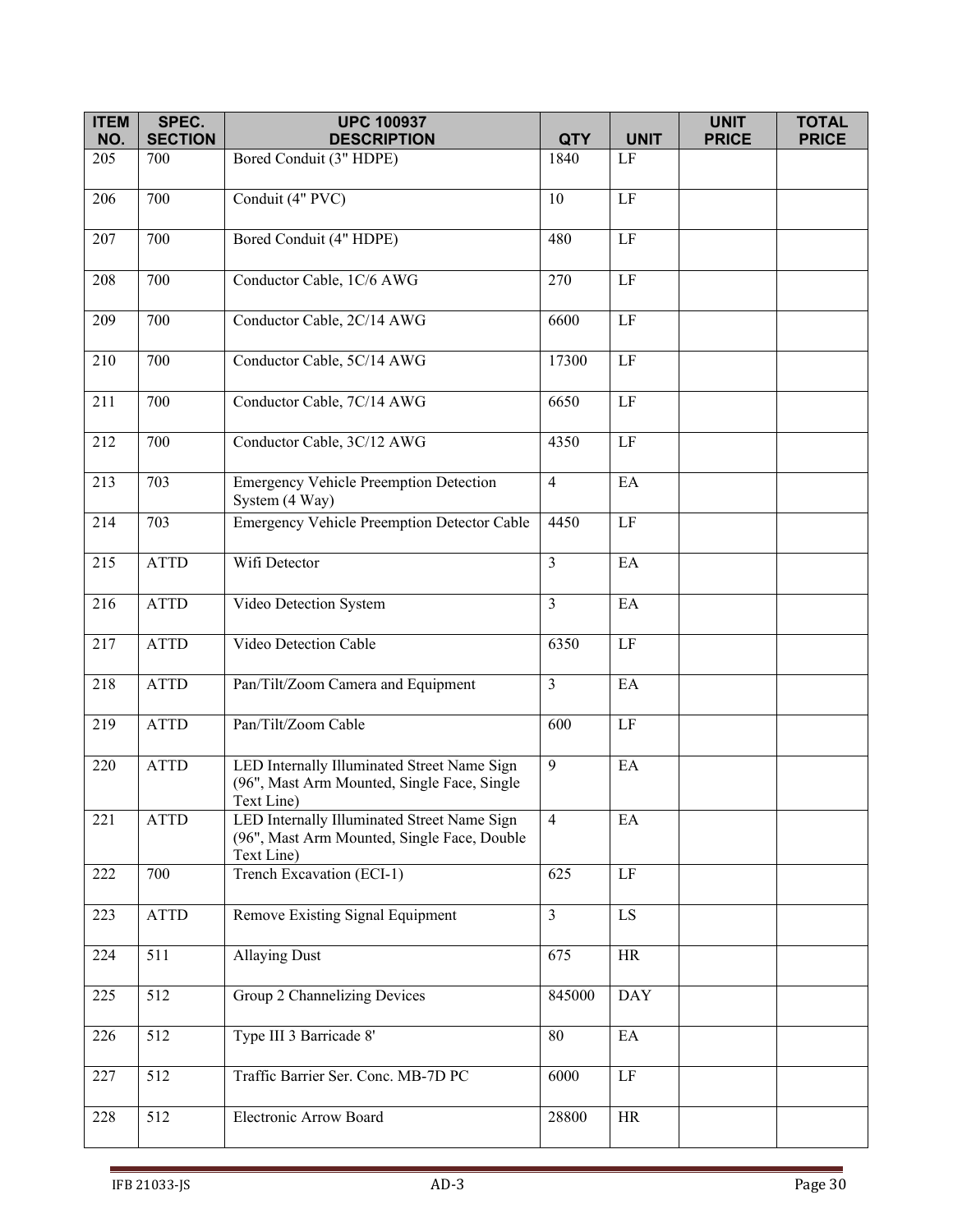| <b>ITEM</b><br>NO. | SPEC.<br><b>SECTION</b> | <b>UPC 100937</b><br><b>DESCRIPTION</b>                                                                  |                    | <b>UNIT</b>                | <b>UNIT</b><br><b>PRICE</b> | <b>TOTAL</b><br><b>PRICE</b> |
|--------------------|-------------------------|----------------------------------------------------------------------------------------------------------|--------------------|----------------------------|-----------------------------|------------------------------|
| 205                | 700                     | Bored Conduit (3" HDPE)                                                                                  | <b>QTY</b><br>1840 | LF                         |                             |                              |
|                    |                         |                                                                                                          |                    |                            |                             |                              |
| 206                | 700                     | Conduit (4" PVC)                                                                                         | 10                 | $\overline{LF}$            |                             |                              |
| 207                | 700                     | Bored Conduit (4" HDPE)                                                                                  | 480                | $\rm LF$                   |                             |                              |
| 208                | 700                     | Conductor Cable, 1C/6 AWG                                                                                | 270                | $\rm LF$                   |                             |                              |
| 209                | 700                     | Conductor Cable, 2C/14 AWG                                                                               | 6600               | $\rm LF$                   |                             |                              |
| 210                | 700                     | Conductor Cable, 5C/14 AWG                                                                               | 17300              | $\rm LF$                   |                             |                              |
| 211                | 700                     | Conductor Cable, 7C/14 AWG                                                                               | 6650               | $\rm LF$                   |                             |                              |
| 212                | 700                     | Conductor Cable, 3C/12 AWG                                                                               | 4350               | $\rm LF$                   |                             |                              |
| 213                | 703                     | <b>Emergency Vehicle Preemption Detection</b><br>System (4 Way)                                          | $\overline{4}$     | EA                         |                             |                              |
| 214                | 703                     | <b>Emergency Vehicle Preemption Detector Cable</b>                                                       | 4450               | $\rm LF$                   |                             |                              |
| 215                | <b>ATTD</b>             | Wifi Detector                                                                                            | $\overline{3}$     | $\mathop{\rm EA}\nolimits$ |                             |                              |
| 216                | <b>ATTD</b>             | Video Detection System                                                                                   | $\overline{3}$     | EA                         |                             |                              |
| 217                | <b>ATTD</b>             | Video Detection Cable                                                                                    | 6350               | $\rm LF$                   |                             |                              |
| 218                | <b>ATTD</b>             | Pan/Tilt/Zoom Camera and Equipment                                                                       | $\overline{3}$     | EA                         |                             |                              |
| 219                | <b>ATTD</b>             | Pan/Tilt/Zoom Cable                                                                                      | 600                | $\rm LF$                   |                             |                              |
| 220                | <b>ATTD</b>             | LED Internally Illuminated Street Name Sign<br>(96", Mast Arm Mounted, Single Face, Single<br>Text Line) | 9                  | EA                         |                             |                              |
| 221                | <b>ATTD</b>             | LED Internally Illuminated Street Name Sign<br>(96", Mast Arm Mounted, Single Face, Double<br>Text Line) | $\overline{4}$     | EA                         |                             |                              |
| 222                | 700                     | Trench Excavation (ECI-1)                                                                                | 625                | $\rm LF$                   |                             |                              |
| 223                | <b>ATTD</b>             | Remove Existing Signal Equipment                                                                         | $\overline{3}$     | $\mathop{\hbox{\rm LS}}$   |                             |                              |
| 224                | 511                     | <b>Allaying Dust</b>                                                                                     | 675                | <b>HR</b>                  |                             |                              |
| 225                | 512                     | Group 2 Channelizing Devices                                                                             | 845000             | <b>DAY</b>                 |                             |                              |
| 226                | 512                     | Type III 3 Barricade 8'                                                                                  | 80                 | EA                         |                             |                              |
| 227                | 512                     | Traffic Barrier Ser. Conc. MB-7D PC                                                                      | 6000               | LF                         |                             |                              |
| 228                | 512                     | Electronic Arrow Board                                                                                   | 28800              | HR                         |                             |                              |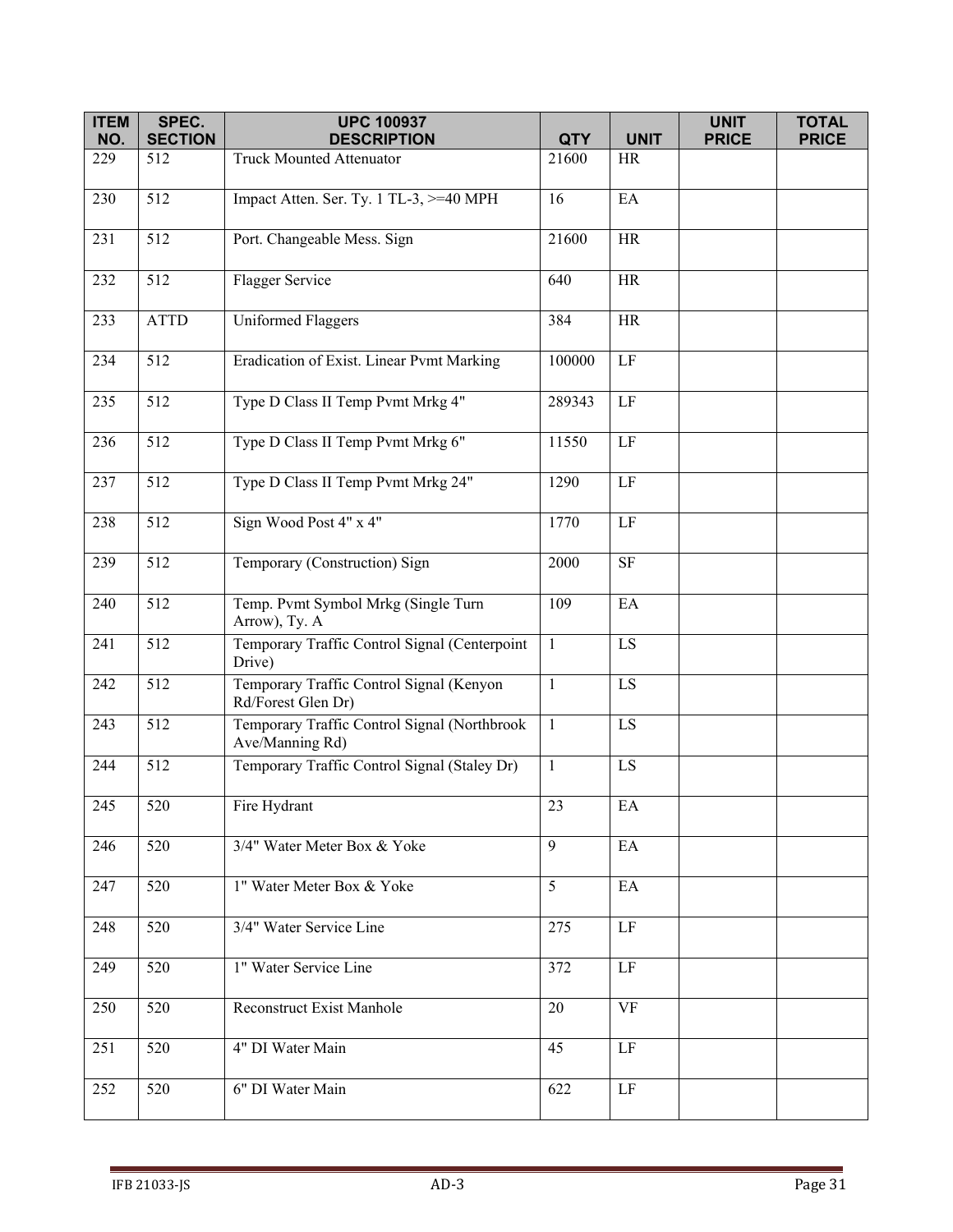| <b>ITEM</b> | SPEC.            | <b>UPC 100937</b>                                               |                 |                        | <b>UNIT</b>  | <b>TOTAL</b> |
|-------------|------------------|-----------------------------------------------------------------|-----------------|------------------------|--------------|--------------|
| NO.         | <b>SECTION</b>   | <b>DESCRIPTION</b>                                              | <b>QTY</b>      | <b>UNIT</b>            | <b>PRICE</b> | <b>PRICE</b> |
| 229         | 512              | <b>Truck Mounted Attenuator</b>                                 | 21600           | <b>HR</b>              |              |              |
| 230         | $\overline{5}12$ | Impact Atten. Ser. Ty. 1 TL-3, >=40 MPH                         | 16              | EA                     |              |              |
| 231         | 512              | Port. Changeable Mess. Sign                                     | 21600           | <b>HR</b>              |              |              |
| 232         | 512              | Flagger Service                                                 | 640             | <b>HR</b>              |              |              |
| 233         | <b>ATTD</b>      | <b>Uniformed Flaggers</b>                                       | 384             | <b>HR</b>              |              |              |
| 234         | 512              | Eradication of Exist. Linear Pvmt Marking                       | 100000          | $\rm LF$               |              |              |
| 235         | 512              | Type D Class II Temp Pvmt Mrkg 4"                               | 289343          | $\rm LF$               |              |              |
| 236         | $\overline{5}12$ | Type D Class II Temp Pvmt Mrkg 6"                               | 11550           | $\rm LF$               |              |              |
| 237         | 512              | Type D Class II Temp Pvmt Mrkg 24"                              | 1290            | $\rm LF$               |              |              |
| 238         | 512              | Sign Wood Post 4" x 4"                                          | 1770            | $\rm LF$               |              |              |
| 239         | 512              | Temporary (Construction) Sign                                   | 2000            | $\rm SF$               |              |              |
| 240         | 512              | Temp. Pvmt Symbol Mrkg (Single Turn<br>Arrow), Ty. A            | 109             | EA                     |              |              |
| 241         | 512              | Temporary Traffic Control Signal (Centerpoint<br>Drive)         | $\mathbf{1}$    | LS                     |              |              |
| 242         | 512              | Temporary Traffic Control Signal (Kenyon<br>Rd/Forest Glen Dr)  | $\mathbf{1}$    | LS                     |              |              |
| 243         | 512              | Temporary Traffic Control Signal (Northbrook<br>Ave/Manning Rd) | $\mathbf{1}$    | LS                     |              |              |
| 244         | 512              | Temporary Traffic Control Signal (Staley Dr)                    | $\mathbf{1}$    | LS                     |              |              |
| 245         | 520              | Fire Hydrant                                                    | 23              | $\mathbf{E}\mathbf{A}$ |              |              |
| 246         | 520              | 3/4" Water Meter Box & Yoke                                     | 9               | EA                     |              |              |
| 247         | 520              | 1" Water Meter Box & Yoke                                       | $5\overline{)}$ | EA                     |              |              |
| 248         | 520              | 3/4" Water Service Line                                         | 275             | LF                     |              |              |
| 249         | 520              | 1" Water Service Line                                           | 372             | $\rm LF$               |              |              |
| 250         | 520              | Reconstruct Exist Manhole                                       | 20              | <b>VF</b>              |              |              |
| 251         | 520              | 4" DI Water Main                                                | 45              | $\rm LF$               |              |              |
| 252         | 520              | 6" DI Water Main                                                | 622             | $\rm LF$               |              |              |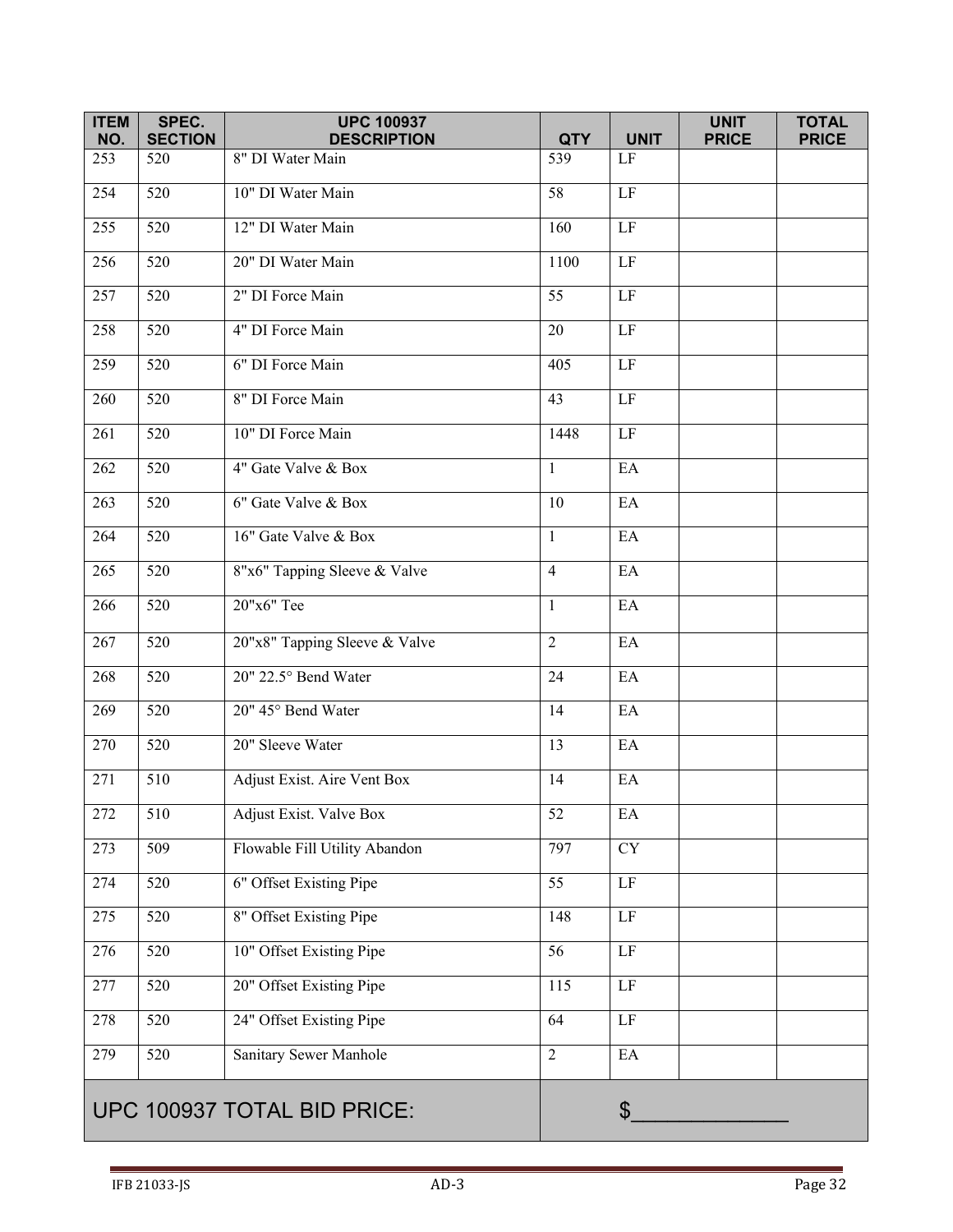| <b>ITEM</b><br>NO.          | SPEC.<br><b>SECTION</b> | <b>UPC 100937</b><br><b>DESCRIPTION</b> | <b>QTY</b>      | <b>UNIT</b>                | <b>UNIT</b><br><b>PRICE</b> | <b>TOTAL</b><br><b>PRICE</b> |
|-----------------------------|-------------------------|-----------------------------------------|-----------------|----------------------------|-----------------------------|------------------------------|
| 253                         | 520                     | 8" DI Water Main                        | 539             | $\rm LF$                   |                             |                              |
| 254                         | 520                     | 10" DI Water Main                       | 58              | $\rm LF$                   |                             |                              |
| 255                         | 520                     | 12" DI Water Main                       | 160             | $\rm LF$                   |                             |                              |
| 256                         | 520                     | 20" DI Water Main                       | 1100            | $\rm LF$                   |                             |                              |
| 257                         | 520                     | 2" DI Force Main                        | 55              | $\rm LF$                   |                             |                              |
| 258                         | 520                     | 4" DI Force Main                        | 20              | $\rm LF$                   |                             |                              |
| 259                         | 520                     | 6" DI Force Main                        | 405             | $\rm LF$                   |                             |                              |
| 260                         | $\overline{520}$        | 8" DI Force Main                        | $\overline{43}$ | $\rm LF$                   |                             |                              |
| 261                         | $\overline{520}$        | 10" DI Force Main                       | 1448            | LF                         |                             |                              |
| 262                         | 520                     | 4" Gate Valve & Box                     | $\mathbf{1}$    | $\mathop{\rm EA}\nolimits$ |                             |                              |
| 263                         | $\overline{520}$        | 6" Gate Valve & Box                     | 10              | EA                         |                             |                              |
| 264                         | $\overline{520}$        | 16" Gate Valve & Box                    | $\mathbf{1}$    | EA                         |                             |                              |
| 265                         | 520                     | 8"x6" Tapping Sleeve & Valve            | $\overline{4}$  | EA                         |                             |                              |
| 266                         | 520                     | 20"x6" Tee                              | 1               | EA                         |                             |                              |
| 267                         | 520                     | 20"x8" Tapping Sleeve & Valve           | $\overline{2}$  | EA                         |                             |                              |
| 268                         | 520                     | 20" 22.5° Bend Water                    | 24              | EA                         |                             |                              |
| 269                         | 520                     | 20" 45° Bend Water                      | 14              | EA                         |                             |                              |
| 270                         | 520                     | 20" Sleeve Water                        | 13              | $\mathop{\rm EA}\nolimits$ |                             |                              |
| 271                         | 510                     | Adjust Exist. Aire Vent Box             | 14              | EA                         |                             |                              |
| 272                         | 510                     | Adjust Exist. Valve Box                 | 52              | EA                         |                             |                              |
| 273                         | $\overline{509}$        | Flowable Fill Utility Abandon           | 797             | $\overline{\text{CY}}$     |                             |                              |
| 274                         | $\overline{520}$        | 6" Offset Existing Pipe                 | $\overline{55}$ | $\overline{LF}$            |                             |                              |
| 275                         | 520                     | 8" Offset Existing Pipe                 | 148             | $\rm LF$                   |                             |                              |
| 276                         | 520                     | 10" Offset Existing Pipe                | $\overline{56}$ | $\rm LF$                   |                             |                              |
| 277                         | 520                     | 20" Offset Existing Pipe                | 115             | $\rm LF$                   |                             |                              |
| 278                         | 520                     | 24" Offset Existing Pipe                | 64              | $\rm LF$                   |                             |                              |
| 279                         | 520                     | Sanitary Sewer Manhole                  | $\overline{2}$  | $\mathop{\rm EA}\nolimits$ |                             |                              |
| UPC 100937 TOTAL BID PRICE: |                         |                                         |                 | $\boldsymbol{\mathsf{S}}$  |                             |                              |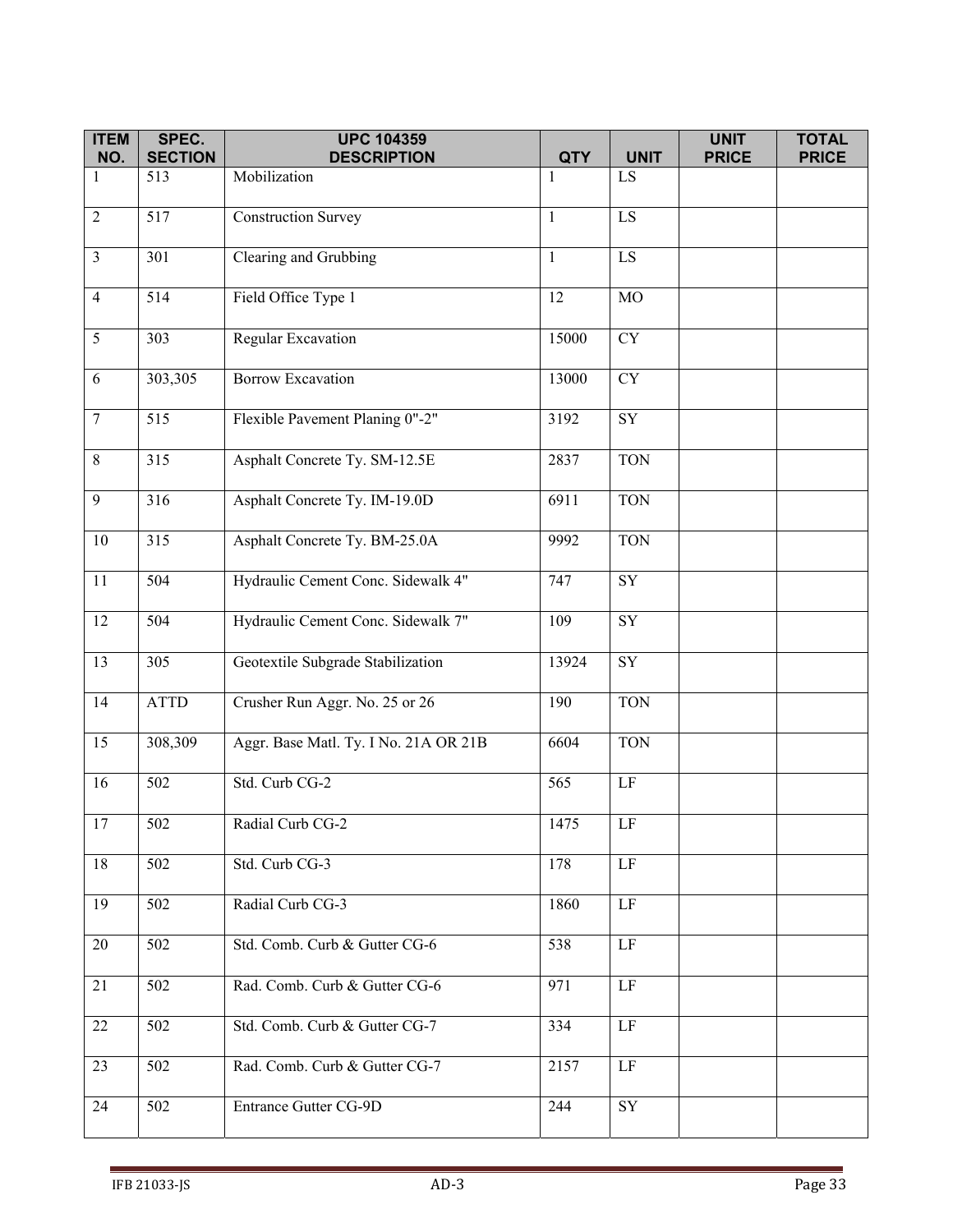| <b>ITEM</b><br>NO. | SPEC.<br><b>SECTION</b> | <b>UPC 104359</b><br><b>DESCRIPTION</b> | <b>QTY</b>   | <b>UNIT</b>            | <b>UNIT</b><br><b>PRICE</b> | <b>TOTAL</b><br><b>PRICE</b> |
|--------------------|-------------------------|-----------------------------------------|--------------|------------------------|-----------------------------|------------------------------|
| $\mathbf{1}$       | 513                     | Mobilization                            | 1            | LS.                    |                             |                              |
|                    |                         |                                         |              |                        |                             |                              |
| $\overline{2}$     | 517                     | <b>Construction Survey</b>              | $\mathbf{1}$ | LS                     |                             |                              |
| $\overline{3}$     | 301                     | Clearing and Grubbing                   | $\mathbf{1}$ | $\overline{LS}$        |                             |                              |
| $\overline{4}$     | 514                     | Field Office Type 1                     | 12           | $_{\rm MO}$            |                             |                              |
| 5                  | 303                     | Regular Excavation                      | 15000        | ${\rm CY}$             |                             |                              |
| 6                  | 303,305                 | <b>Borrow Excavation</b>                | 13000        | $\overline{CY}$        |                             |                              |
| $\overline{7}$     | $\overline{515}$        | Flexible Pavement Planing 0"-2"         | 3192         | $\overline{\text{SY}}$ |                             |                              |
| $\,8\,$            | 315                     | Asphalt Concrete Ty. SM-12.5E           | 2837         | <b>TON</b>             |                             |                              |
| 9                  | 316                     | Asphalt Concrete Ty. IM-19.0D           | 6911         | <b>TON</b>             |                             |                              |
| $10\,$             | 315                     | Asphalt Concrete Ty. BM-25.0A           | 9992         | <b>TON</b>             |                             |                              |
| 11                 | 504                     | Hydraulic Cement Conc. Sidewalk 4"      | 747          | ${\rm SY}$             |                             |                              |
| 12                 | $\overline{504}$        | Hydraulic Cement Conc. Sidewalk 7"      | 109          | ${\rm SY}$             |                             |                              |
| 13                 | 305                     | Geotextile Subgrade Stabilization       | 13924        | ${\rm SY}$             |                             |                              |
| 14                 | <b>ATTD</b>             | Crusher Run Aggr. No. 25 or 26          | 190          | <b>TON</b>             |                             |                              |
| 15                 | 308,309                 | Aggr. Base Matl. Ty. I No. 21A OR 21B   | 6604         | <b>TON</b>             |                             |                              |
| 16                 | 502                     | Std. Curb CG-2                          | 565          | $\rm LF$               |                             |                              |
| 17                 | 502                     | Radial Curb CG-2                        | 1475         | LF                     |                             |                              |
| 18                 | 502                     | Std. Curb CG-3                          | 178          | LF                     |                             |                              |
| 19                 | 502                     | Radial Curb CG-3                        | 1860         | LF                     |                             |                              |
| 20                 | 502                     | Std. Comb. Curb & Gutter CG-6           | 538          | LF                     |                             |                              |
| 21                 | 502                     | Rad. Comb. Curb & Gutter CG-6           | 971          | LF                     |                             |                              |
| 22                 | 502                     | Std. Comb. Curb & Gutter CG-7           | 334          | $\rm LF$               |                             |                              |
| 23                 | 502                     | Rad. Comb. Curb & Gutter CG-7           | 2157         | $\rm LF$               |                             |                              |
| 24                 | 502                     | Entrance Gutter CG-9D                   | 244          | ${\rm SY}$             |                             |                              |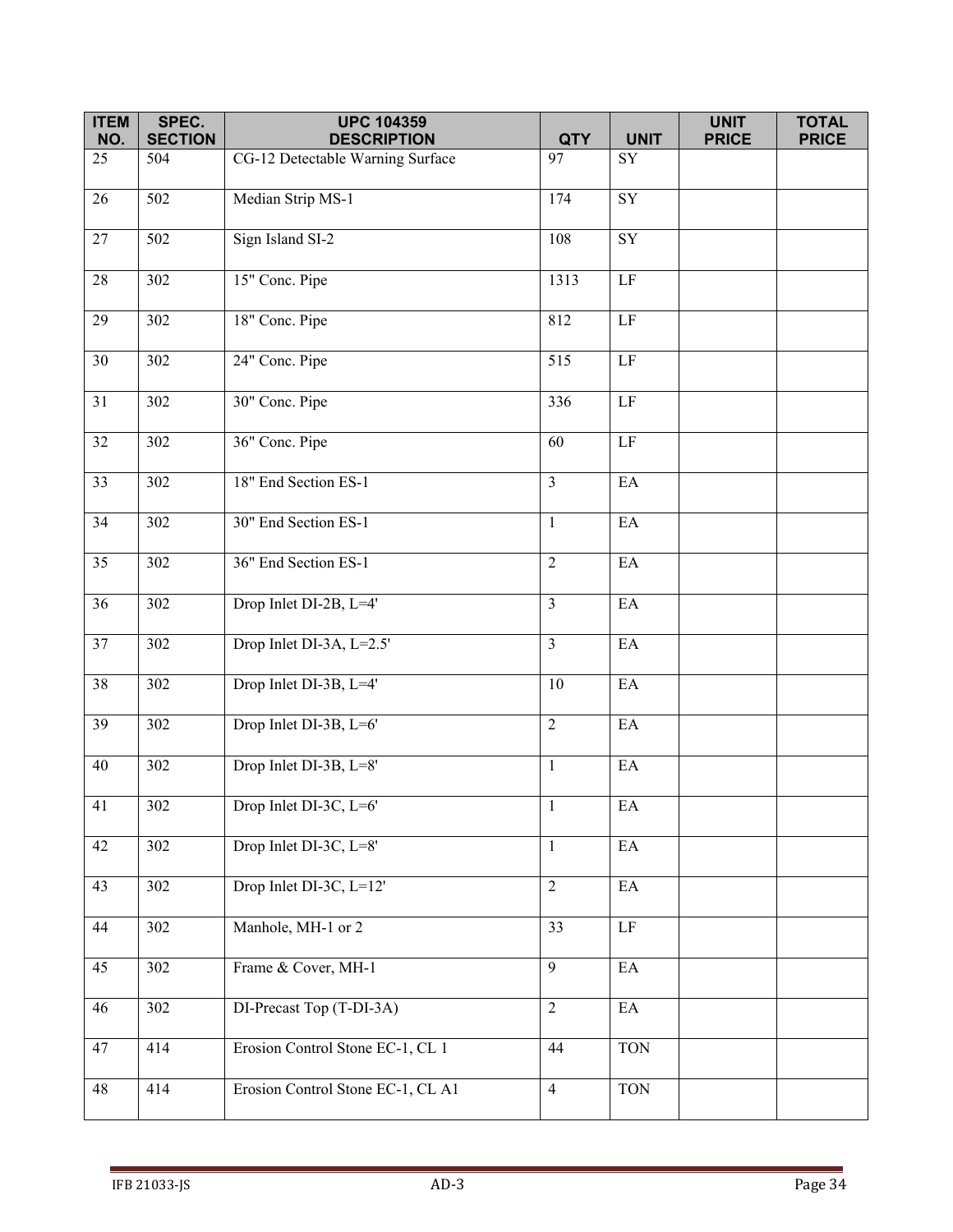| <b>ITEM</b>     | SPEC.                 | <b>UPC 104359</b>                                      |                  |                            | <b>UNIT</b>  | <b>TOTAL</b> |
|-----------------|-----------------------|--------------------------------------------------------|------------------|----------------------------|--------------|--------------|
| NO.<br>25       | <b>SECTION</b><br>504 | <b>DESCRIPTION</b><br>CG-12 Detectable Warning Surface | <b>QTY</b><br>97 | <b>UNIT</b><br>SY          | <b>PRICE</b> | <b>PRICE</b> |
|                 |                       |                                                        |                  |                            |              |              |
| $\overline{26}$ | $\overline{502}$      | Median Strip MS-1                                      | 174              | $\overline{SY}$            |              |              |
| 27              | 502                   | Sign Island SI-2                                       | 108              | ${\rm SY}$                 |              |              |
| 28              | 302                   | 15" Conc. Pipe                                         | 1313             | $\rm LF$                   |              |              |
| $\overline{29}$ | 302                   | 18" Conc. Pipe                                         | 812              | LF                         |              |              |
| 30              | 302                   | 24" Conc. Pipe                                         | 515              | $\rm LF$                   |              |              |
| 31              | $\overline{3}02$      | 30" Conc. Pipe                                         | 336              | $\rm LF$                   |              |              |
| $\overline{32}$ | $\overline{302}$      | 36" Conc. Pipe                                         | 60               | $\overline{LF}$            |              |              |
| 33              | 302                   | 18" End Section ES-1                                   | $\overline{3}$   | $\mathop{\rm EA}\nolimits$ |              |              |
| 34              | 302                   | 30" End Section ES-1                                   | $\mathbf{1}$     | EA                         |              |              |
| $\overline{35}$ | 302                   | 36" End Section ES-1                                   | 2                | EA                         |              |              |
| 36              | 302                   | Drop Inlet DI-2B, L=4'                                 | $\overline{3}$   | $\mathop{\rm EA}\nolimits$ |              |              |
| 37              | 302                   | Drop Inlet DI-3A, L=2.5'                               | $\overline{3}$   | EA                         |              |              |
| $\overline{38}$ | 302                   | Drop Inlet DI-3B, L=4'                                 | 10               | $\mathop{\rm EA}\nolimits$ |              |              |
| 39              | 302                   | Drop Inlet DI-3B, L=6'                                 | $\overline{2}$   | $\mathop{\rm EA}\nolimits$ |              |              |
| 40              | 302                   | Drop Inlet DI-3B, L=8'                                 | $\mathbf{1}$     | $\mathop{\rm EA}\nolimits$ |              |              |
| 41              | 302                   | Drop Inlet DI-3C, L=6'                                 | $\mathbf{1}$     | $\mathop{\rm EA}\nolimits$ |              |              |
| 42              | 302                   | Drop Inlet DI-3C, L=8'                                 | $\mathbf{1}$     | $\mathop{\rm EA}\nolimits$ |              |              |
| 43              | 302                   | Drop Inlet DI-3C, L=12'                                | $\overline{2}$   | EA                         |              |              |
| 44              | 302                   | Manhole, MH-1 or 2                                     | 33               | $\overline{LF}$            |              |              |
| 45              | 302                   | Frame & Cover, MH-1                                    | $\overline{9}$   | $\mathop{\rm EA}\nolimits$ |              |              |
| 46              | 302                   | DI-Precast Top (T-DI-3A)                               | $\overline{2}$   | $\mathop{\rm EA}\nolimits$ |              |              |
| 47              | 414                   | Erosion Control Stone EC-1, CL 1                       | 44               | <b>TON</b>                 |              |              |
| 48              | 414                   | Erosion Control Stone EC-1, CL A1                      | $\overline{4}$   | <b>TON</b>                 |              |              |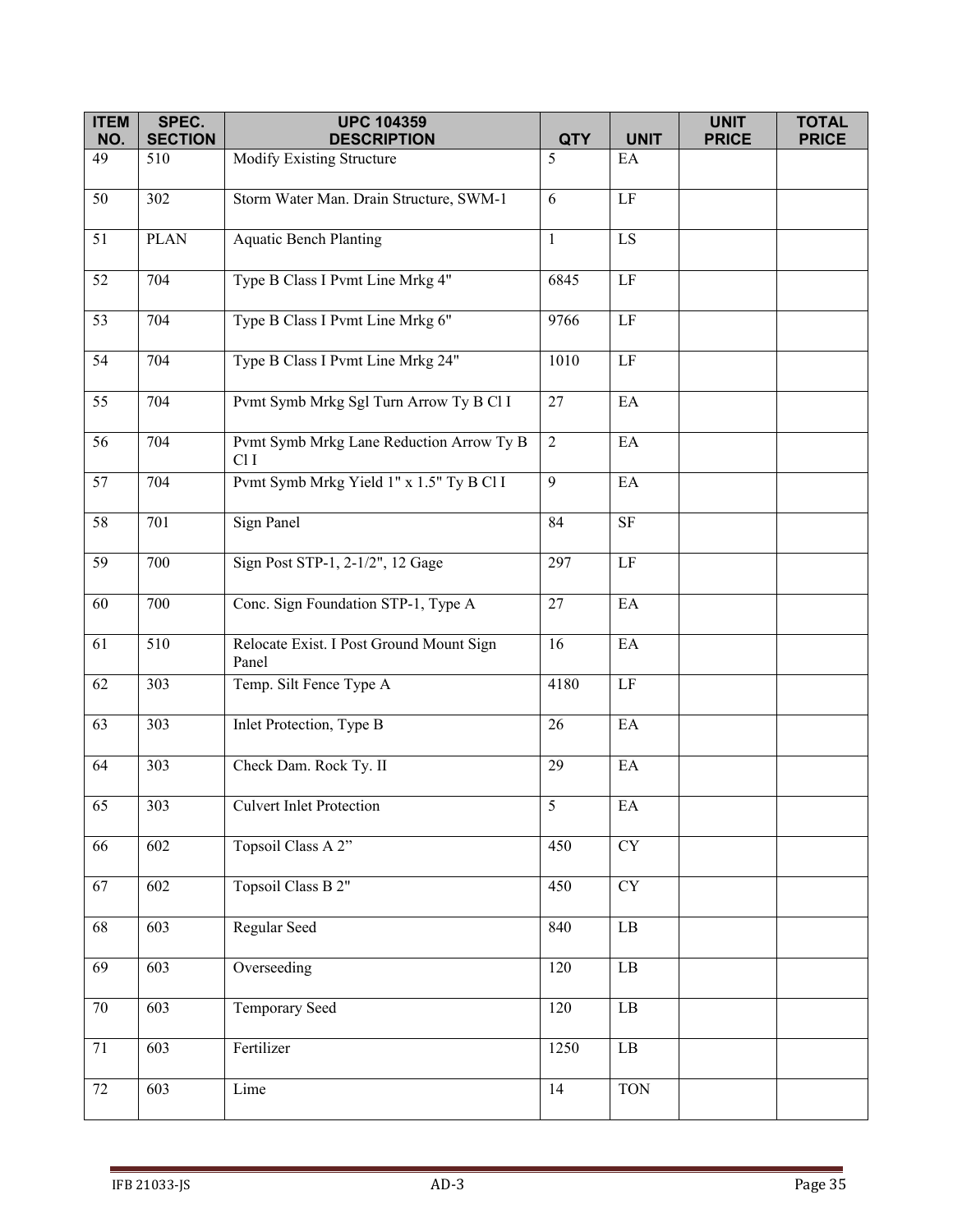| <b>ITEM</b> | SPEC.                 | <b>UPC 104359</b>                                           |                 |                            | <b>UNIT</b>  | <b>TOTAL</b> |
|-------------|-----------------------|-------------------------------------------------------------|-----------------|----------------------------|--------------|--------------|
| NO.<br>49   | <b>SECTION</b><br>510 | <b>DESCRIPTION</b><br>Modify Existing Structure             | <b>QTY</b><br>5 | <b>UNIT</b><br>EA          | <b>PRICE</b> | <b>PRICE</b> |
|             |                       |                                                             |                 |                            |              |              |
| 50          | 302                   | Storm Water Man. Drain Structure, SWM-1                     | 6               | $\rm LF$                   |              |              |
| 51          | <b>PLAN</b>           | <b>Aquatic Bench Planting</b>                               | $\mathbf{1}$    | LS                         |              |              |
| 52          | 704                   | Type B Class I Pvmt Line Mrkg 4"                            | 6845            | LF                         |              |              |
| 53          | 704                   | Type B Class I Pvmt Line Mrkg 6"                            | 9766            | LF                         |              |              |
| 54          | 704                   | Type B Class I Pvmt Line Mrkg 24"                           | 1010            | $\rm LF$                   |              |              |
| 55          | 704                   | Pvmt Symb Mrkg Sgl Turn Arrow Ty B Cl I                     | 27              | EA                         |              |              |
| 56          | $\overline{7}04$      | Pvmt Symb Mrkg Lane Reduction Arrow Ty B<br>Cl <sub>I</sub> | $\overline{2}$  | EA                         |              |              |
| 57          | 704                   | Pvmt Symb Mrkg Yield 1" x 1.5" Ty B Cl I                    | 9               | EA                         |              |              |
| 58          | 701                   | Sign Panel                                                  | 84              | $\rm SF$                   |              |              |
| 59          | 700                   | Sign Post STP-1, 2-1/2", 12 Gage                            | 297             | LF                         |              |              |
| 60          | 700                   | Conc. Sign Foundation STP-1, Type A                         | 27              | EA                         |              |              |
| 61          | 510                   | Relocate Exist. I Post Ground Mount Sign<br>Panel           | 16              | $\mathop{\rm EA}\nolimits$ |              |              |
| 62          | 303                   | Temp. Silt Fence Type A                                     | 4180            | $\rm LF$                   |              |              |
| 63          | 303                   | Inlet Protection, Type B                                    | 26              | EA                         |              |              |
| 64          | 303                   | Check Dam. Rock Ty. II                                      | 29              | $\mathop{\rm EA}\nolimits$ |              |              |
| 65          | 303                   | <b>Culvert Inlet Protection</b>                             | 5               | $\mathop{\rm EA}\nolimits$ |              |              |
| 66          | 602                   | Topsoil Class A 2"                                          | 450             | CY                         |              |              |
| 67          | 602                   | Topsoil Class B 2"                                          | 450             | ${\rm CY}$                 |              |              |
| 68          | 603                   | Regular Seed                                                | 840             | $\rm LB$                   |              |              |
| 69          | 603                   | Overseeding                                                 | 120             | $\rm LB$                   |              |              |
| $70\,$      | 603                   | Temporary Seed                                              | 120             | $\rm LB$                   |              |              |
| 71          | 603                   | Fertilizer                                                  | 1250            | $\rm LB$                   |              |              |
| 72          | 603                   | Lime                                                        | 14              | <b>TON</b>                 |              |              |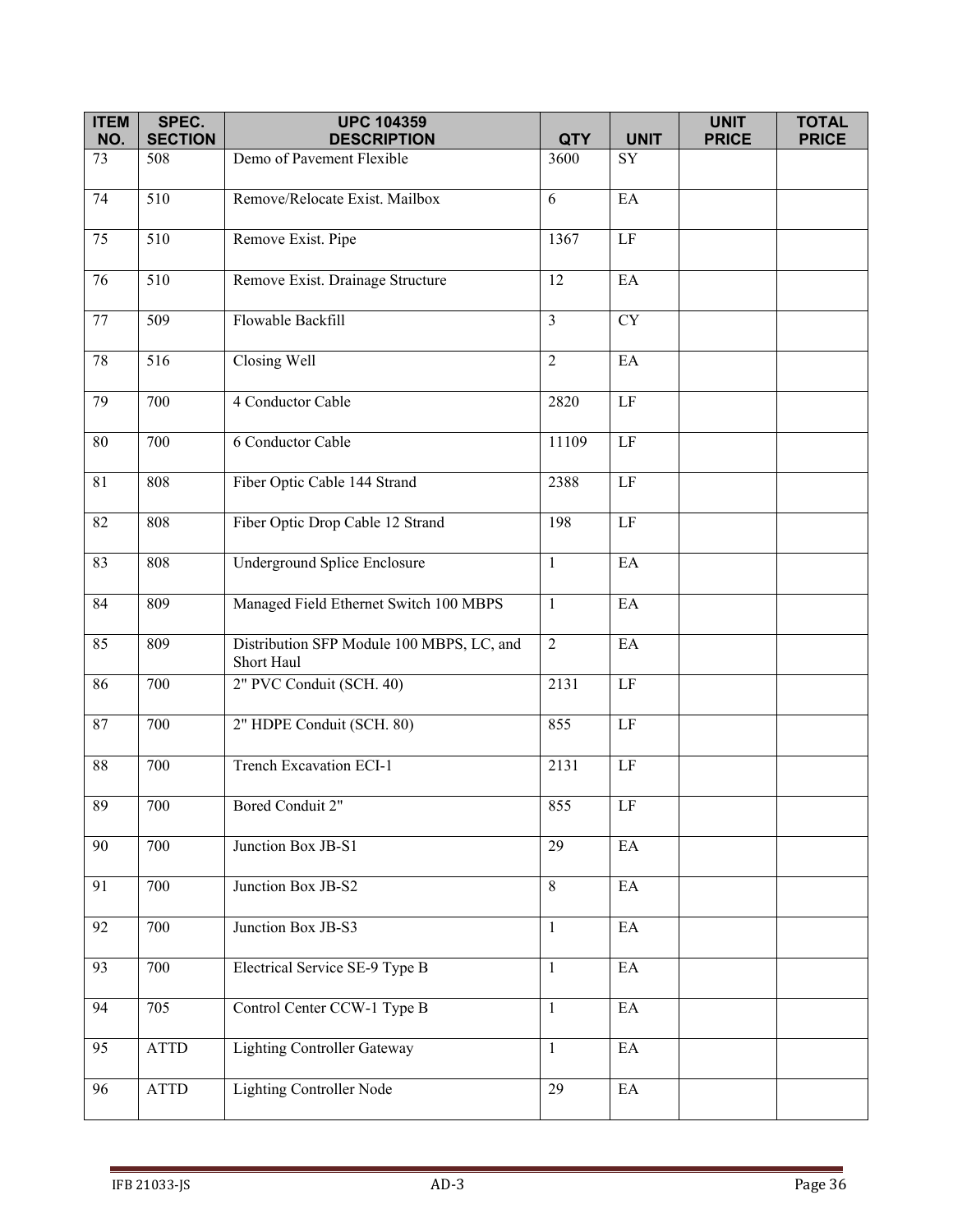| <b>ITEM</b>     | SPEC.                 | <b>UPC 104359</b>                                       |                |                            | <b>UNIT</b>  | <b>TOTAL</b> |
|-----------------|-----------------------|---------------------------------------------------------|----------------|----------------------------|--------------|--------------|
| NO.             | <b>SECTION</b>        | <b>DESCRIPTION</b>                                      | <b>QTY</b>     | <b>UNIT</b>                | <b>PRICE</b> | <b>PRICE</b> |
| 73              | 508                   | Demo of Pavement Flexible                               | 3600           | SY                         |              |              |
| 74              | $\overline{510}$      | Remove/Relocate Exist. Mailbox                          | 6              | $E$ A                      |              |              |
| 75              | 510                   | Remove Exist. Pipe                                      | 1367           | $\rm LF$                   |              |              |
| 76              | 510                   | Remove Exist. Drainage Structure                        | 12             | EA                         |              |              |
| 77              | 509                   | Flowable Backfill                                       | $\overline{3}$ | <b>CY</b>                  |              |              |
| 78              | 516                   | Closing Well                                            | $\overline{2}$ | EA                         |              |              |
| 79              | 700                   | 4 Conductor Cable                                       | 2820           | $\rm LF$                   |              |              |
| $\overline{80}$ | 700                   | 6 Conductor Cable                                       | 11109          | LF                         |              |              |
| 81              | 808                   | Fiber Optic Cable 144 Strand                            | 2388           | $\rm LF$                   |              |              |
| 82              | 808                   | Fiber Optic Drop Cable 12 Strand                        | 198            | $\rm LF$                   |              |              |
| 83              | 808                   | Underground Splice Enclosure                            | $\mathbf{1}$   | EA                         |              |              |
| 84              | 809                   | Managed Field Ethernet Switch 100 MBPS                  | $\mathbf{1}$   | EA                         |              |              |
| 85              | 809                   | Distribution SFP Module 100 MBPS, LC, and<br>Short Haul | $\overline{2}$ | EA                         |              |              |
| 86              | 700                   | 2" PVC Conduit (SCH. 40)                                | 2131           | $\rm LF$                   |              |              |
| 87              | 700                   | 2" HDPE Conduit (SCH. 80)                               | 855            | $\rm LF$                   |              |              |
| $88\,$          | 700                   | Trench Excavation ECI-1                                 | 2131           | $\rm LF$                   |              |              |
| 89              | 700                   | Bored Conduit 2"                                        | 855            | LF                         |              |              |
| 90              | 700                   | Junction Box JB-S1                                      | 29             | EA                         |              |              |
| 91              | 700                   | Junction Box JB-S2                                      | 8              | EA                         |              |              |
| 92              | 700                   | Junction Box JB-S3                                      | $\mathbf{1}$   | EA                         |              |              |
| 93              | 700                   | Electrical Service SE-9 Type B                          | $\mathbf{1}$   | $\mathop{\rm EA}\nolimits$ |              |              |
| 94              | 705                   | Control Center CCW-1 Type B                             | $\mathbf{1}$   | EA                         |              |              |
| $\overline{95}$ | <b>ATTD</b>           | <b>Lighting Controller Gateway</b>                      | $\mathbf{1}$   | $\mathop{\rm EA}\nolimits$ |              |              |
| 96              | $\operatorname{ATTD}$ | <b>Lighting Controller Node</b>                         | 29             | $\rm EA$                   |              |              |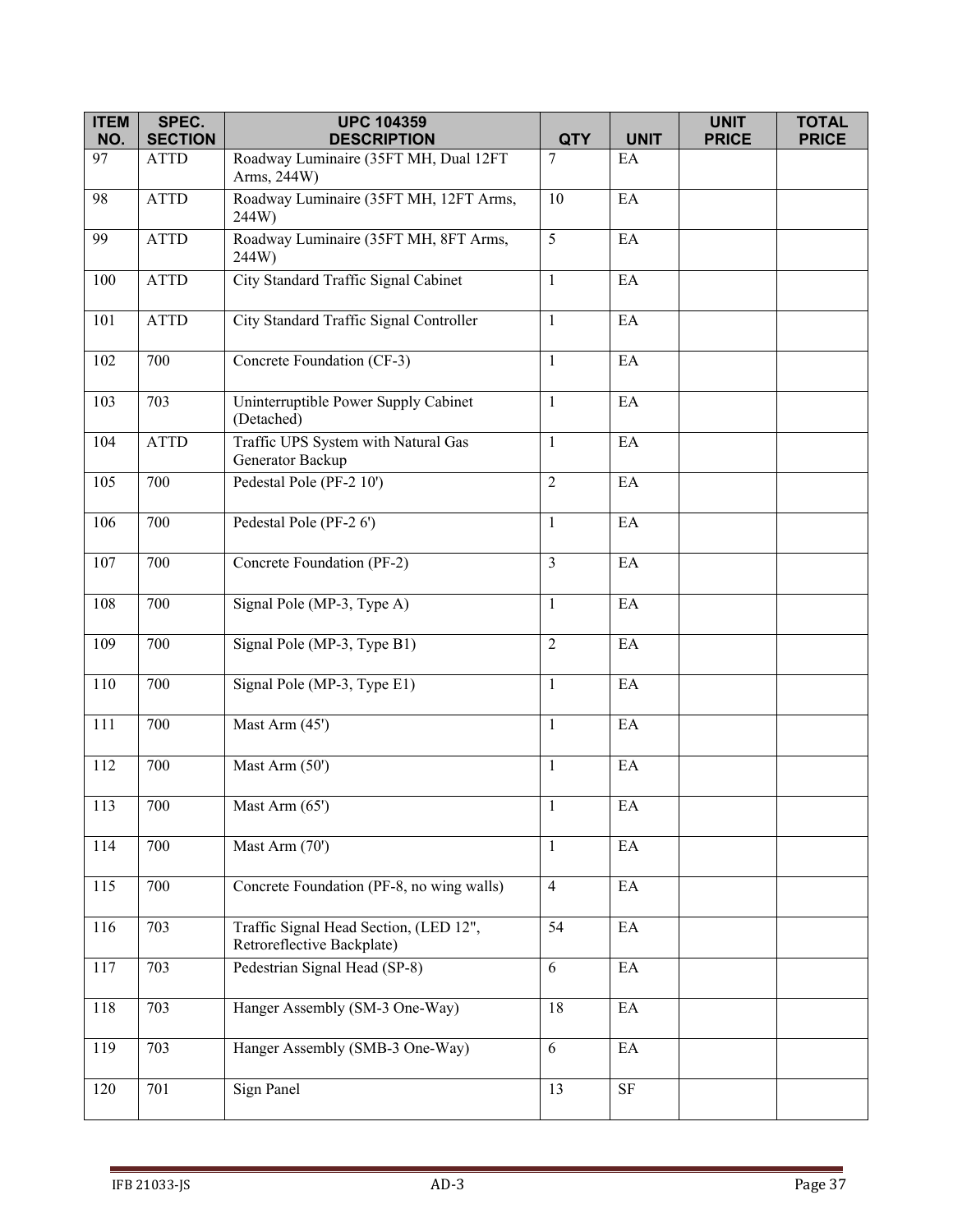| <b>ITEM</b> | SPEC.          | <b>UPC 104359</b>                                                    |                |             | <b>UNIT</b>  | <b>TOTAL</b> |
|-------------|----------------|----------------------------------------------------------------------|----------------|-------------|--------------|--------------|
| NO.         | <b>SECTION</b> | <b>DESCRIPTION</b>                                                   | <b>QTY</b>     | <b>UNIT</b> | <b>PRICE</b> | <b>PRICE</b> |
| 97          | <b>ATTD</b>    | Roadway Luminaire (35FT MH, Dual 12FT<br>Arms, 244W)                 | 7              | EA          |              |              |
| 98          | <b>ATTD</b>    | Roadway Luminaire (35FT MH, 12FT Arms,<br>244W)                      | 10             | EA          |              |              |
| 99          | <b>ATTD</b>    | Roadway Luminaire (35FT MH, 8FT Arms,<br>244W)                       | 5              | EA          |              |              |
| 100         | <b>ATTD</b>    | City Standard Traffic Signal Cabinet                                 | $\mathbf{1}$   | EA          |              |              |
| 101         | <b>ATTD</b>    | City Standard Traffic Signal Controller                              | $\mathbf{1}$   | EA          |              |              |
| 102         | 700            | Concrete Foundation (CF-3)                                           | $\mathbf{1}$   | EA          |              |              |
| 103         | 703            | Uninterruptible Power Supply Cabinet<br>(Detached)                   | $\mathbf{1}$   | EA          |              |              |
| 104         | <b>ATTD</b>    | Traffic UPS System with Natural Gas<br>Generator Backup              | $\mathbf{1}$   | EA          |              |              |
| 105         | 700            | Pedestal Pole (PF-2 10')                                             | $\overline{2}$ | EA          |              |              |
| 106         | 700            | Pedestal Pole (PF-2 6')                                              | $\mathbf{1}$   | EA          |              |              |
| 107         | 700            | Concrete Foundation (PF-2)                                           | $\overline{3}$ | EA          |              |              |
| 108         | 700            | Signal Pole (MP-3, Type A)                                           | $\mathbf{1}$   | EA          |              |              |
| 109         | 700            | Signal Pole (MP-3, Type B1)                                          | $\overline{2}$ | EA          |              |              |
| 110         | 700            | Signal Pole (MP-3, Type E1)                                          | $\mathbf{1}$   | EA          |              |              |
| 111         | 700            | Mast Arm (45')                                                       | $\mathbf{1}$   | $\rm EA$    |              |              |
| 112         | 700            | Mast Arm (50')                                                       | $\mathbf{1}$   | EA          |              |              |
| 113         | 700            | Mast Arm (65')                                                       | $\mathbf{1}$   | EA          |              |              |
| 114         | 700            | Mast Arm (70')                                                       | $\mathbf{1}$   | EA          |              |              |
| 115         | 700            | Concrete Foundation (PF-8, no wing walls)                            | $\overline{4}$ | EA          |              |              |
| 116         | 703            | Traffic Signal Head Section, (LED 12",<br>Retroreflective Backplate) | 54             | EA          |              |              |
| 117         | 703            | Pedestrian Signal Head (SP-8)                                        | 6              | EA          |              |              |
| 118         | 703            | Hanger Assembly (SM-3 One-Way)                                       | 18             | EA          |              |              |
| 119         | 703            | Hanger Assembly (SMB-3 One-Way)                                      | 6              | EA          |              |              |
| 120         | 701            | Sign Panel                                                           | 13             | $\rm{SF}$   |              |              |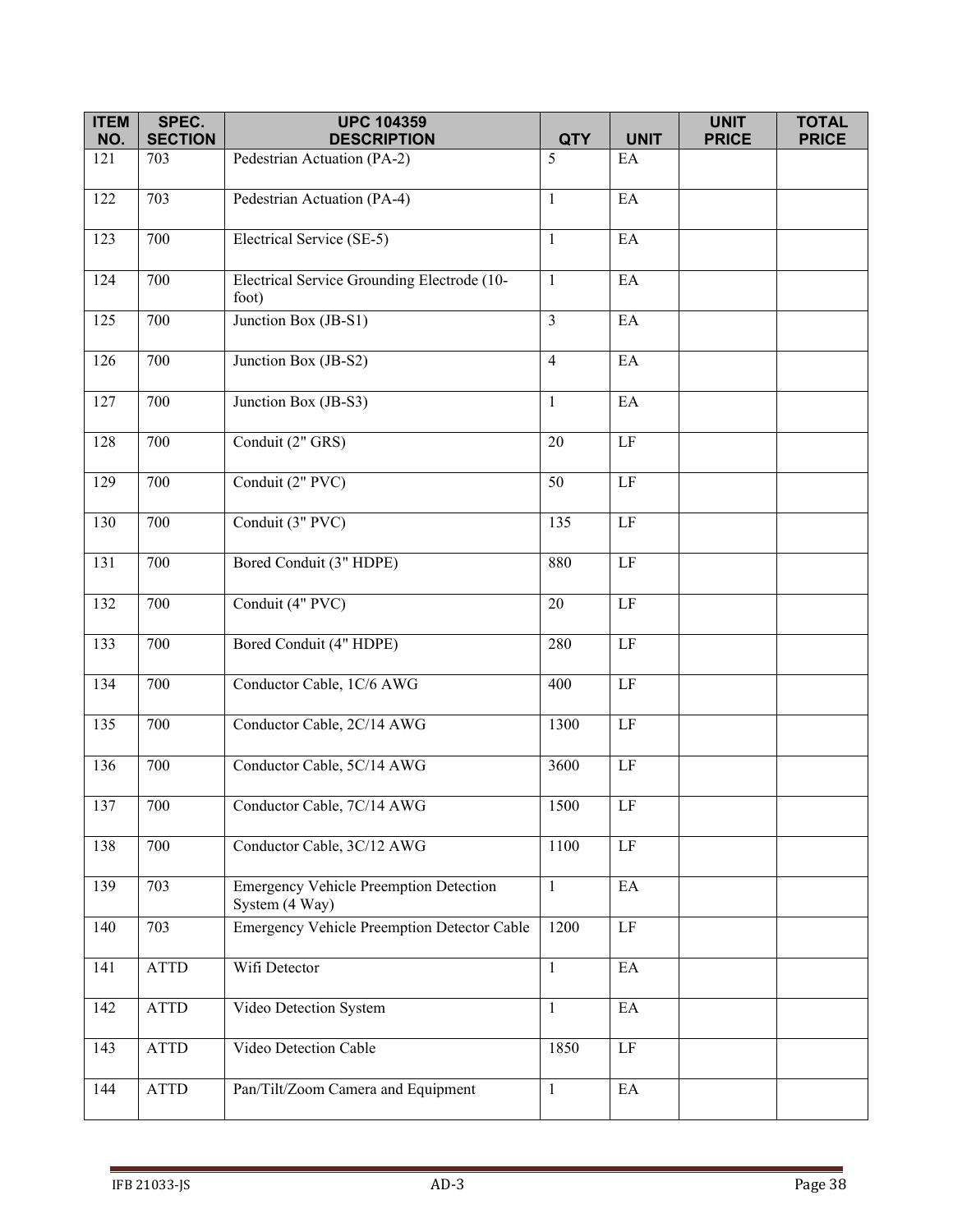| <b>ITEM</b><br>NO. | SPEC.<br><b>SECTION</b> | <b>UPC 104359</b><br><b>DESCRIPTION</b>                         | <b>QTY</b>     | <b>UNIT</b>                | <b>UNIT</b><br><b>PRICE</b> | <b>TOTAL</b><br><b>PRICE</b> |
|--------------------|-------------------------|-----------------------------------------------------------------|----------------|----------------------------|-----------------------------|------------------------------|
| 121                | 703                     | Pedestrian Actuation (PA-2)                                     | 5              | EA                         |                             |                              |
|                    |                         |                                                                 |                |                            |                             |                              |
| 122                | 703                     | Pedestrian Actuation (PA-4)                                     | $\mathbf{1}$   | EA                         |                             |                              |
| 123                | 700                     | Electrical Service (SE-5)                                       | $\mathbf{1}$   | EA                         |                             |                              |
| 124                | 700                     | Electrical Service Grounding Electrode (10-<br>foot)            | $\mathbf{1}$   | EA                         |                             |                              |
| 125                | 700                     | Junction Box (JB-S1)                                            | $\mathfrak{Z}$ | $\mathop{\rm EA}\nolimits$ |                             |                              |
| 126                | 700                     | Junction Box (JB-S2)                                            | $\overline{4}$ | EA                         |                             |                              |
| 127                | 700                     | Junction Box (JB-S3)                                            | $\mathbf{1}$   | EA                         |                             |                              |
| 128                | 700                     | Conduit (2" GRS)                                                | 20             | LF                         |                             |                              |
| 129                | 700                     | Conduit (2" PVC)                                                | 50             | $\rm LF$                   |                             |                              |
| 130                | 700                     | Conduit (3" PVC)                                                | 135            | $\rm LF$                   |                             |                              |
| 131                | 700                     | Bored Conduit (3" HDPE)                                         | 880            | LF                         |                             |                              |
| 132                | 700                     | Conduit (4" PVC)                                                | 20             | LF                         |                             |                              |
| 133                | 700                     | Bored Conduit (4" HDPE)                                         | 280            | $\rm LF$                   |                             |                              |
| 134                | 700                     | Conductor Cable, 1C/6 AWG                                       | 400            | LF                         |                             |                              |
| 135                | 700                     | Conductor Cable, 2C/14 AWG                                      | 1300           | $\rm LF$                   |                             |                              |
| 136                | 700                     | Conductor Cable, 5C/14 AWG                                      | 3600           | $\rm LF$                   |                             |                              |
| 137                | 700                     | Conductor Cable, 7C/14 AWG                                      | 1500           | LF                         |                             |                              |
| 138                | 700                     | Conductor Cable, 3C/12 AWG                                      | 1100           | $\rm LF$                   |                             |                              |
| 139                | 703                     | <b>Emergency Vehicle Preemption Detection</b><br>System (4 Way) | $\mathbf{1}$   | EA                         |                             |                              |
| 140                | 703                     | <b>Emergency Vehicle Preemption Detector Cable</b>              | 1200           | LF                         |                             |                              |
| 141                | <b>ATTD</b>             | Wifi Detector                                                   | $\mathbf{1}$   | EA                         |                             |                              |
| 142                | <b>ATTD</b>             | Video Detection System                                          | $\mathbf{1}$   | EA                         |                             |                              |
| 143                | ATTD                    | Video Detection Cable                                           | 1850           | $\rm LF$                   |                             |                              |
| 144                | ATTD                    | Pan/Tilt/Zoom Camera and Equipment                              | $\mathbf{1}$   | $\rm EA$                   |                             |                              |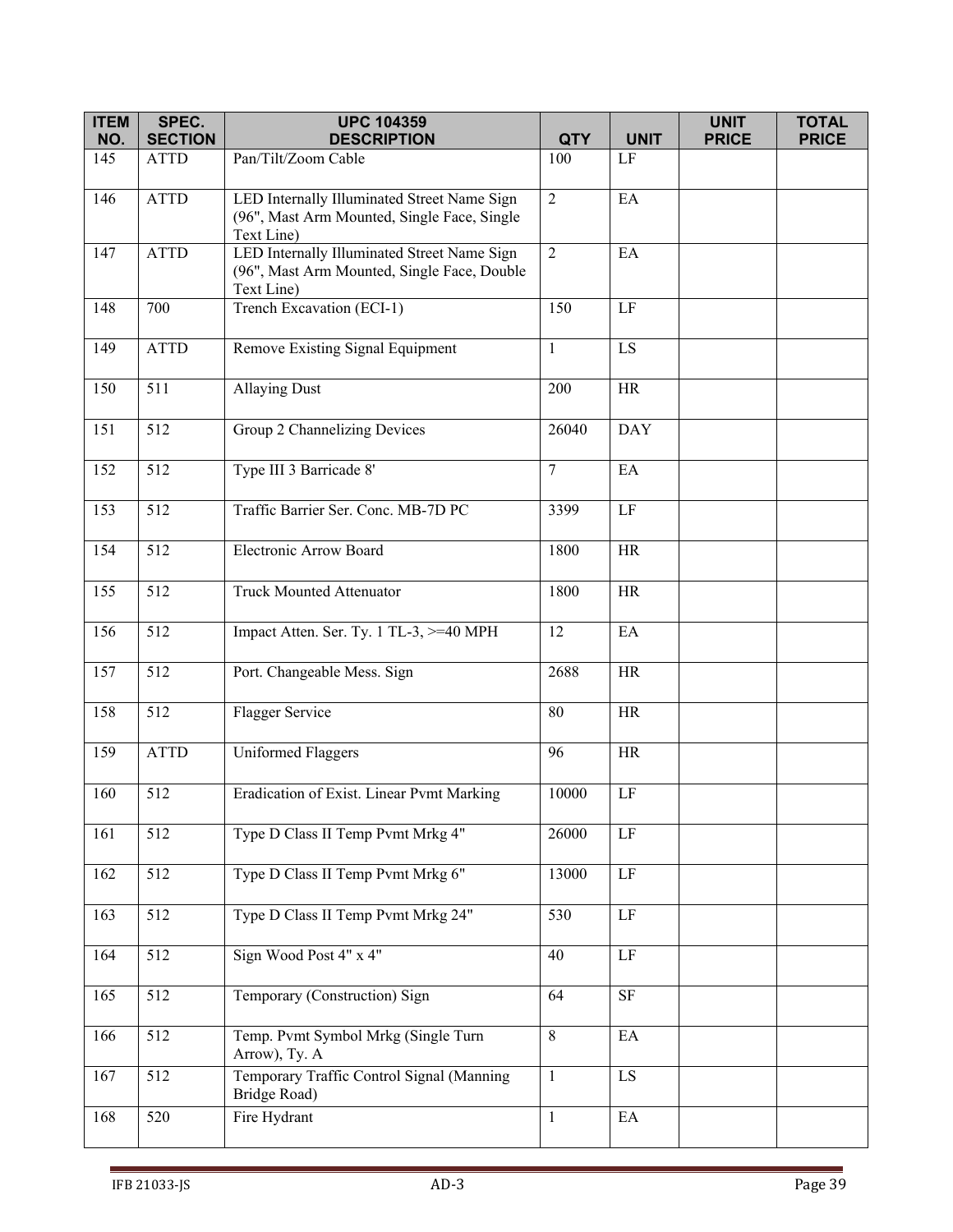| <b>ITEM</b> | SPEC.            | <b>UPC 104359</b>                                                                                        |                |                            | <b>UNIT</b>  | <b>TOTAL</b> |
|-------------|------------------|----------------------------------------------------------------------------------------------------------|----------------|----------------------------|--------------|--------------|
| NO.         | <b>SECTION</b>   | <b>DESCRIPTION</b>                                                                                       | <b>QTY</b>     | <b>UNIT</b>                | <b>PRICE</b> | <b>PRICE</b> |
| 145         | <b>ATTD</b>      | Pan/Tilt/Zoom Cable                                                                                      | 100            | $\rm LF$                   |              |              |
| 146         | <b>ATTD</b>      | LED Internally Illuminated Street Name Sign<br>(96", Mast Arm Mounted, Single Face, Single<br>Text Line) | $\overline{2}$ | EA                         |              |              |
| 147         | <b>ATTD</b>      | LED Internally Illuminated Street Name Sign<br>(96", Mast Arm Mounted, Single Face, Double<br>Text Line) | $\overline{2}$ | EA                         |              |              |
| 148         | 700              | Trench Excavation (ECI-1)                                                                                | 150            | $\rm LF$                   |              |              |
| 149         | <b>ATTD</b>      | Remove Existing Signal Equipment                                                                         | 1              | LS                         |              |              |
| 150         | 511              | <b>Allaying Dust</b>                                                                                     | 200            | HR                         |              |              |
| 151         | 512              | Group 2 Channelizing Devices                                                                             | 26040          | <b>DAY</b>                 |              |              |
| 152         | 512              | Type III 3 Barricade 8'                                                                                  | $\tau$         | EA                         |              |              |
| 153         | 512              | Traffic Barrier Ser. Conc. MB-7D PC                                                                      | 3399           | $\rm LF$                   |              |              |
| 154         | 512              | Electronic Arrow Board                                                                                   | 1800           | HR                         |              |              |
| 155         | 512              | <b>Truck Mounted Attenuator</b>                                                                          | 1800           | <b>HR</b>                  |              |              |
| 156         | 512              | Impact Atten. Ser. Ty. 1 TL-3, >=40 MPH                                                                  | 12             | EA                         |              |              |
| 157         | 512              | Port. Changeable Mess. Sign                                                                              | 2688           | <b>HR</b>                  |              |              |
| 158         | 512              | Flagger Service                                                                                          | 80             | <b>HR</b>                  |              |              |
| 159         | <b>ATTD</b>      | <b>Uniformed Flaggers</b>                                                                                | 96             | <b>HR</b>                  |              |              |
| 160         | 512              | Eradication of Exist. Linear Pvmt Marking                                                                | 10000          | $\rm LF$                   |              |              |
| 161         | 512              | Type D Class II Temp Pvmt Mrkg 4"                                                                        | 26000          | $\rm LF$                   |              |              |
| 162         | 512              | Type D Class II Temp Pvmt Mrkg 6"                                                                        | 13000          | $\rm LF$                   |              |              |
| 163         | 512              | Type D Class II Temp Pvmt Mrkg 24"                                                                       | 530            | $\rm LF$                   |              |              |
| 164         | 512              | Sign Wood Post 4" x 4"                                                                                   | 40             | $\rm LF$                   |              |              |
| 165         | 512              | Temporary (Construction) Sign                                                                            | 64             | <b>SF</b>                  |              |              |
| 166         | 512              | Temp. Pvmt Symbol Mrkg (Single Turn<br>Arrow), Ty. A                                                     | $\,8\,$        | $\rm EA$                   |              |              |
| 167         | $\overline{5}12$ | Temporary Traffic Control Signal (Manning<br>Bridge Road)                                                | $\mathbf{1}$   | LS                         |              |              |
| 168         | 520              | Fire Hydrant                                                                                             | $\mathbf{1}$   | $\mathop{\rm EA}\nolimits$ |              |              |